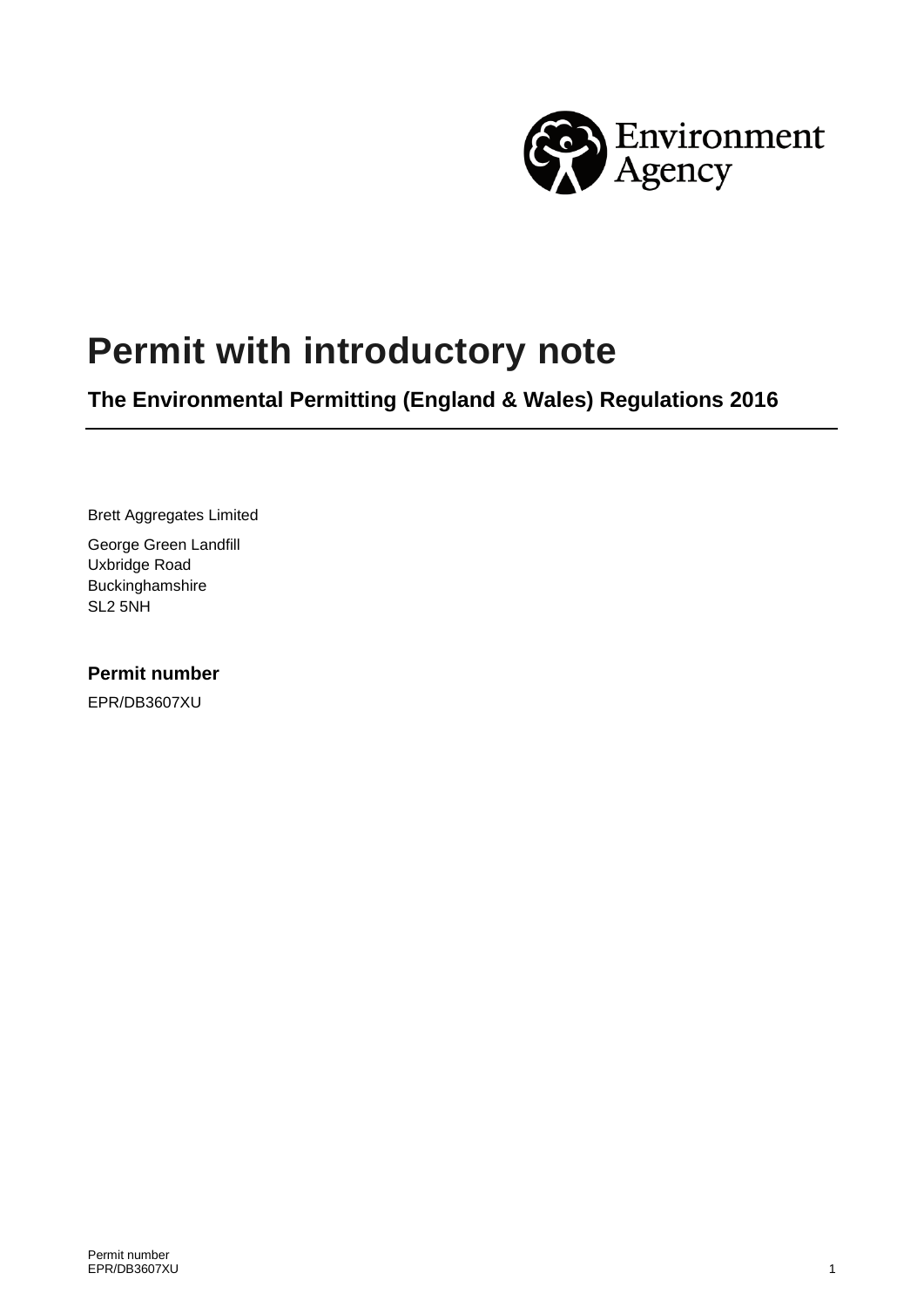

# **Permit with introductory note**

**The Environmental Permitting (England & Wales) Regulations 2016** 

Brett Aggregates Limited

George Green Landfill Uxbridge Road Buckinghamshire SL2 5NH

#### **Permit number**

EPR/DB3607XU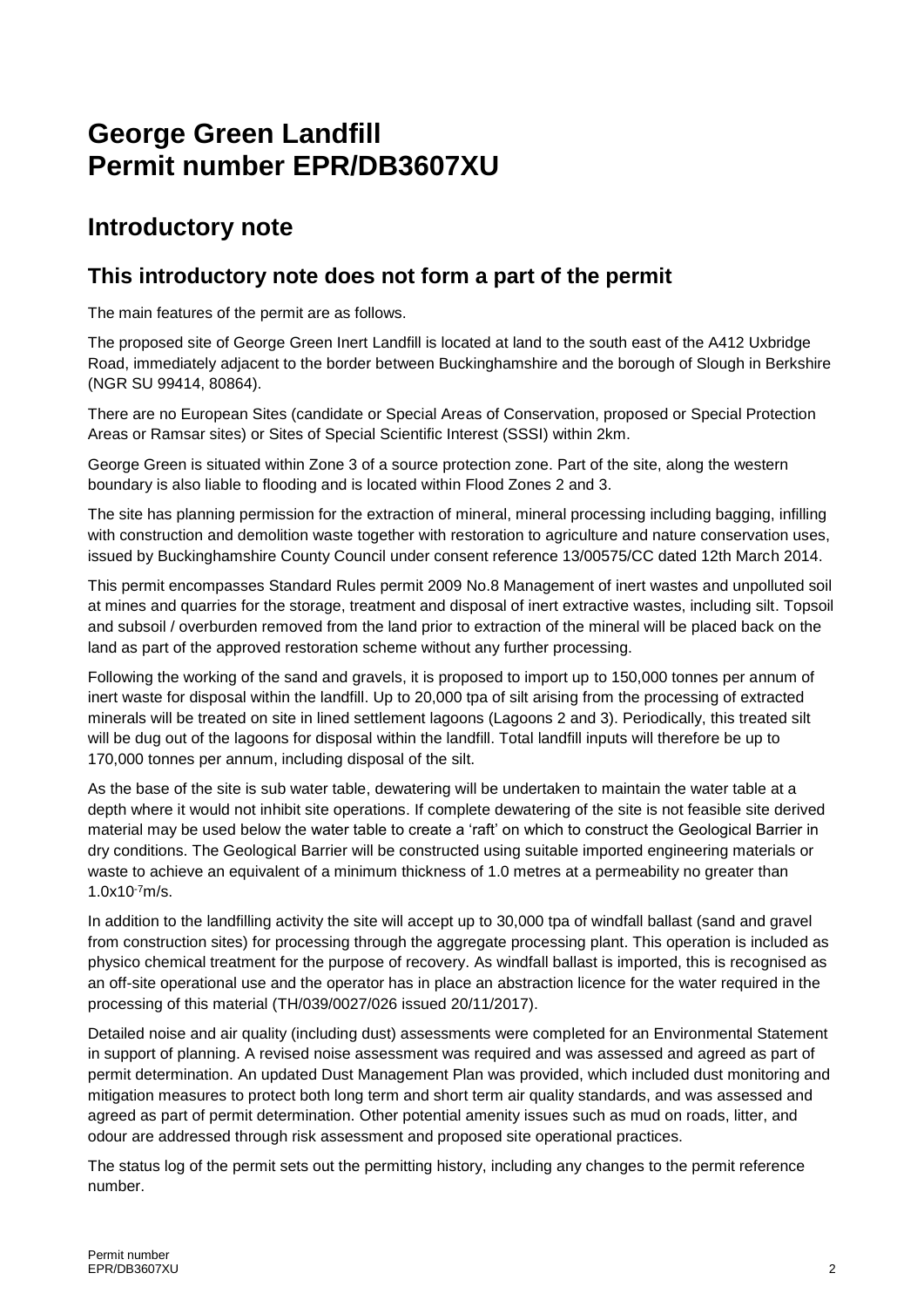## **George Green Landfill Permit number EPR/DB3607XU**

### **Introductory note**

#### **This introductory note does not form a part of the permit**

The main features of the permit are as follows.

The proposed site of George Green Inert Landfill is located at land to the south east of the A412 Uxbridge Road, immediately adjacent to the border between Buckinghamshire and the borough of Slough in Berkshire (NGR SU 99414, 80864).

There are no European Sites (candidate or Special Areas of Conservation, proposed or Special Protection Areas or Ramsar sites) or Sites of Special Scientific Interest (SSSI) within 2km.

George Green is situated within Zone 3 of a source protection zone. Part of the site, along the western boundary is also liable to flooding and is located within Flood Zones 2 and 3.

The site has planning permission for the extraction of mineral, mineral processing including bagging, infilling with construction and demolition waste together with restoration to agriculture and nature conservation uses, issued by Buckinghamshire County Council under consent reference 13/00575/CC dated 12th March 2014.

This permit encompasses Standard Rules permit 2009 No.8 Management of inert wastes and unpolluted soil at mines and quarries for the storage, treatment and disposal of inert extractive wastes, including silt. Topsoil and subsoil / overburden removed from the land prior to extraction of the mineral will be placed back on the land as part of the approved restoration scheme without any further processing.

Following the working of the sand and gravels, it is proposed to import up to 150,000 tonnes per annum of inert waste for disposal within the landfill. Up to 20,000 tpa of silt arising from the processing of extracted minerals will be treated on site in lined settlement lagoons (Lagoons 2 and 3). Periodically, this treated silt will be dug out of the lagoons for disposal within the landfill. Total landfill inputs will therefore be up to 170,000 tonnes per annum, including disposal of the silt.

As the base of the site is sub water table, dewatering will be undertaken to maintain the water table at a depth where it would not inhibit site operations. If complete dewatering of the site is not feasible site derived material may be used below the water table to create a 'raft' on which to construct the Geological Barrier in dry conditions. The Geological Barrier will be constructed using suitable imported engineering materials or waste to achieve an equivalent of a minimum thickness of 1.0 metres at a permeability no greater than 1.0x10-7m/s.

In addition to the landfilling activity the site will accept up to 30,000 tpa of windfall ballast (sand and gravel from construction sites) for processing through the aggregate processing plant. This operation is included as physico chemical treatment for the purpose of recovery. As windfall ballast is imported, this is recognised as an off-site operational use and the operator has in place an abstraction licence for the water required in the processing of this material (TH/039/0027/026 issued 20/11/2017).

Detailed noise and air quality (including dust) assessments were completed for an Environmental Statement in support of planning. A revised noise assessment was required and was assessed and agreed as part of permit determination. An updated Dust Management Plan was provided, which included dust monitoring and mitigation measures to protect both long term and short term air quality standards, and was assessed and agreed as part of permit determination. Other potential amenity issues such as mud on roads, litter, and odour are addressed through risk assessment and proposed site operational practices.

The status log of the permit sets out the permitting history, including any changes to the permit reference number.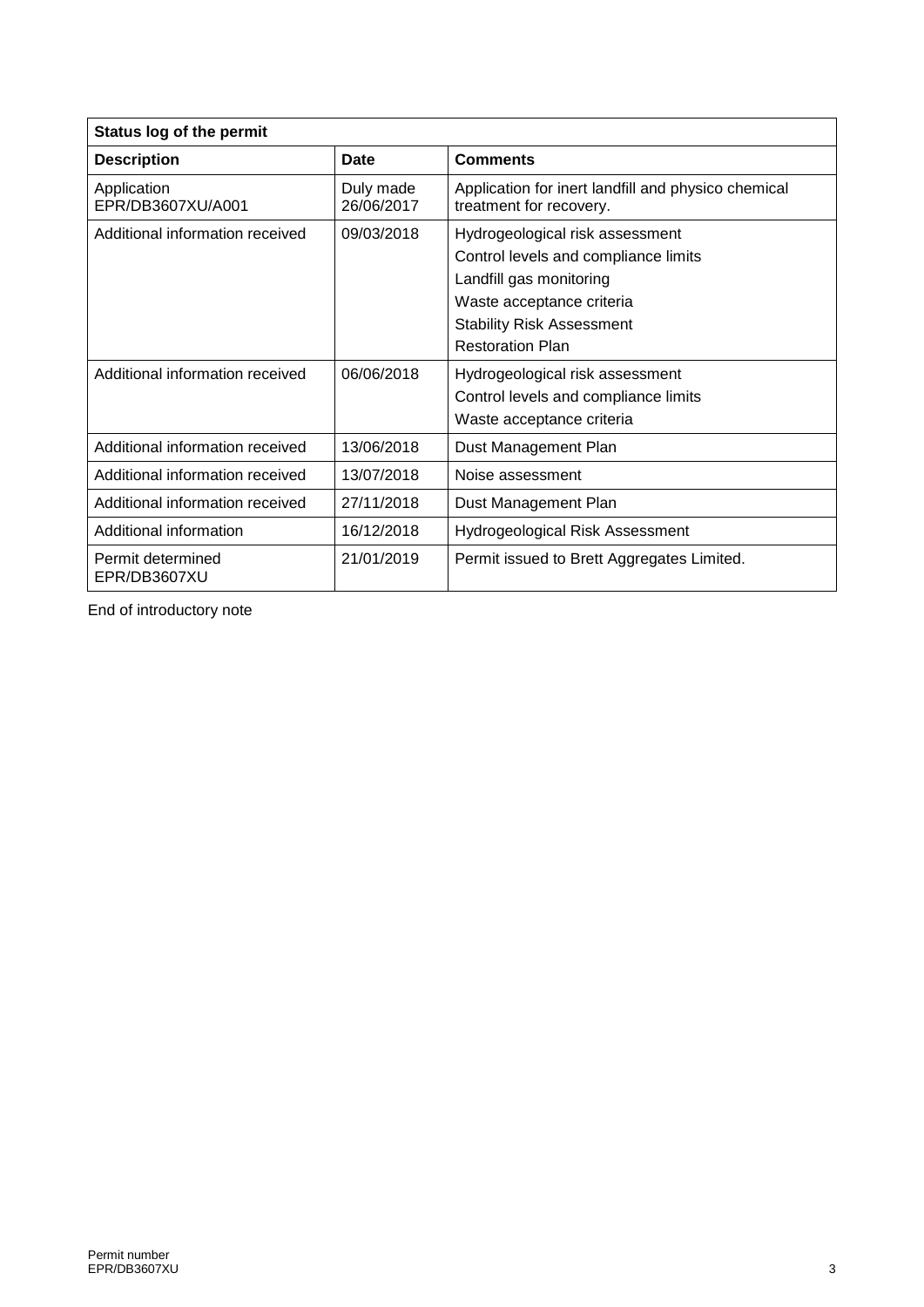| <b>Status log of the permit</b>   |                         |                                                                                                                                                                                                |  |  |
|-----------------------------------|-------------------------|------------------------------------------------------------------------------------------------------------------------------------------------------------------------------------------------|--|--|
| <b>Description</b>                | <b>Date</b>             | <b>Comments</b>                                                                                                                                                                                |  |  |
| Application<br>EPR/DB3607XU/A001  | Duly made<br>26/06/2017 | Application for inert landfill and physico chemical<br>treatment for recovery.                                                                                                                 |  |  |
| Additional information received   | 09/03/2018              | Hydrogeological risk assessment<br>Control levels and compliance limits<br>Landfill gas monitoring<br>Waste acceptance criteria<br><b>Stability Risk Assessment</b><br><b>Restoration Plan</b> |  |  |
| Additional information received   | 06/06/2018              | Hydrogeological risk assessment<br>Control levels and compliance limits<br>Waste acceptance criteria                                                                                           |  |  |
| Additional information received   | 13/06/2018              | Dust Management Plan                                                                                                                                                                           |  |  |
| Additional information received   | 13/07/2018              | Noise assessment                                                                                                                                                                               |  |  |
| Additional information received   | 27/11/2018              | Dust Management Plan                                                                                                                                                                           |  |  |
| Additional information            | 16/12/2018              | <b>Hydrogeological Risk Assessment</b>                                                                                                                                                         |  |  |
| Permit determined<br>EPR/DB3607XU | 21/01/2019              | Permit issued to Brett Aggregates Limited.                                                                                                                                                     |  |  |

End of introductory note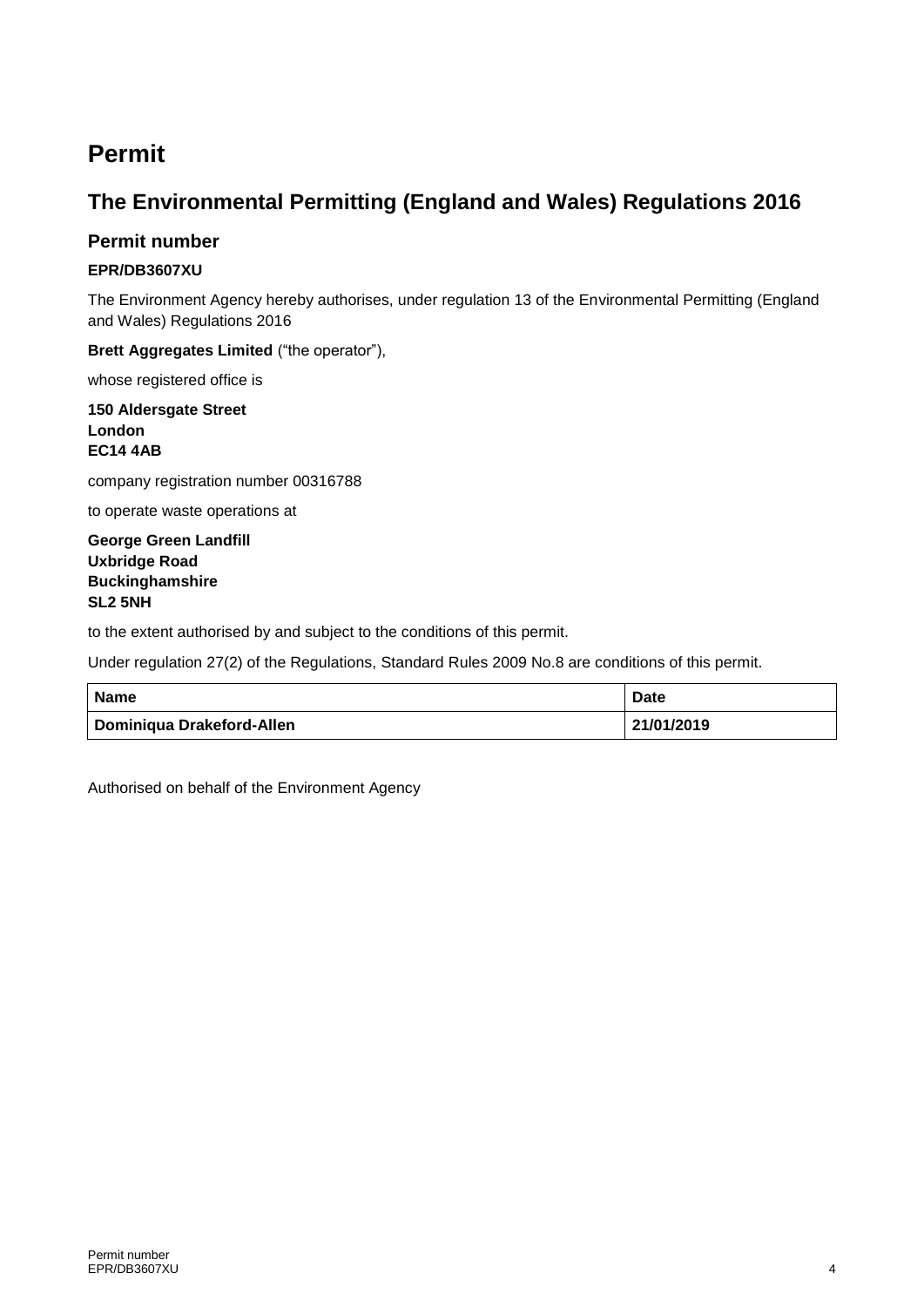### **Permit**

#### **The Environmental Permitting (England and Wales) Regulations 2016**

#### **Permit number**

#### **EPR/DB3607XU**

The Environment Agency hereby authorises, under regulation 13 of the Environmental Permitting (England and Wales) Regulations 2016

**Brett Aggregates Limited** ("the operator"),

whose registered office is

**150 Aldersgate Street London EC14 4AB**

company registration number 00316788

to operate waste operations at

**George Green Landfill Uxbridge Road Buckinghamshire SL2 5NH**

to the extent authorised by and subject to the conditions of this permit.

Under regulation 27(2) of the Regulations, Standard Rules 2009 No.8 are conditions of this permit.

| <b>Name</b>               | <b>Date</b> |
|---------------------------|-------------|
| Dominiqua Drakeford-Allen | 21/01/2019  |

Authorised on behalf of the Environment Agency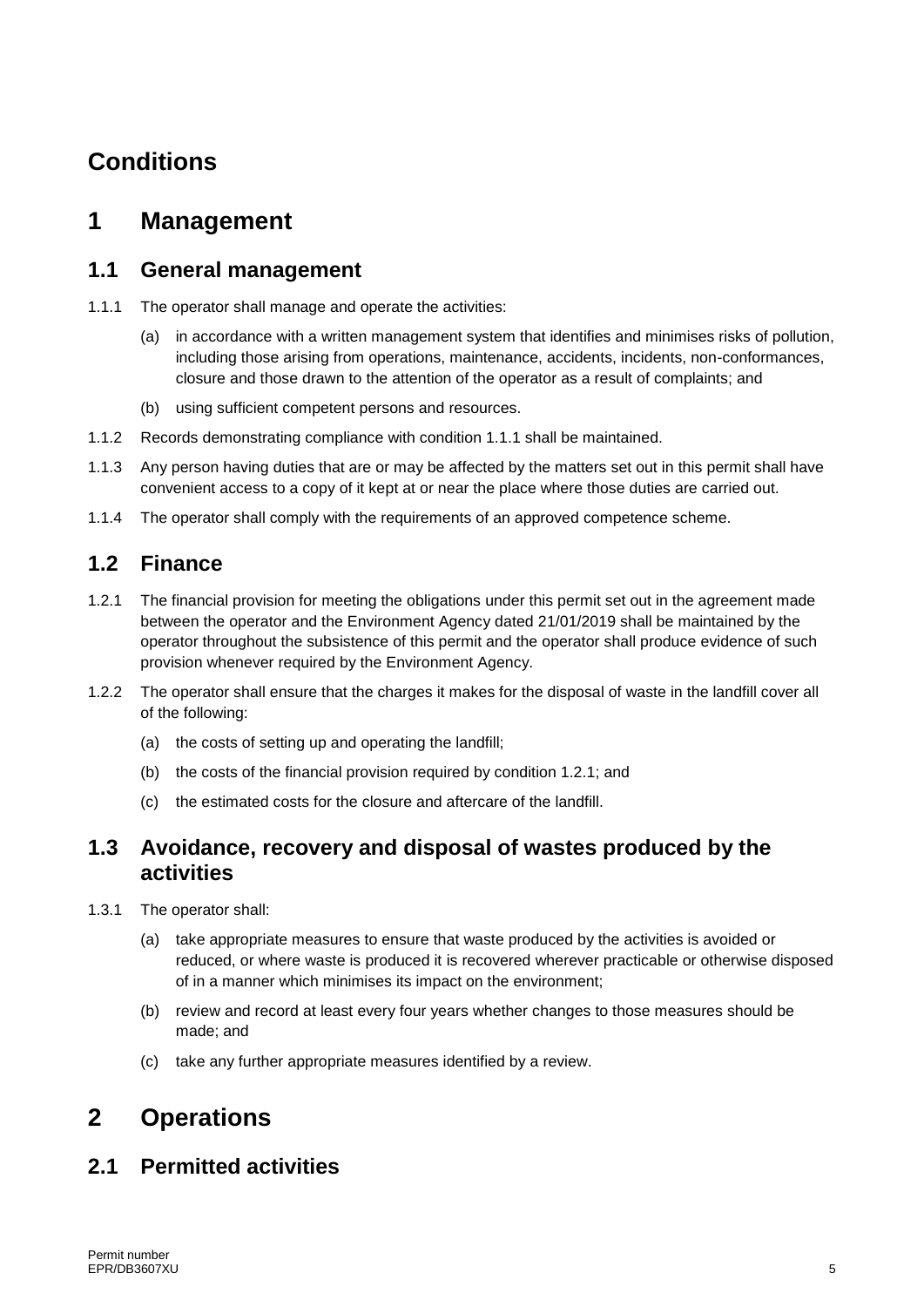## **Conditions**

### **1 Management**

#### **1.1 General management**

- 1.1.1 The operator shall manage and operate the activities:
	- (a) in accordance with a written management system that identifies and minimises risks of pollution, including those arising from operations, maintenance, accidents, incidents, non-conformances, closure and those drawn to the attention of the operator as a result of complaints; and
	- (b) using sufficient competent persons and resources.
- 1.1.2 Records demonstrating compliance with condition 1.1.1 shall be maintained.
- 1.1.3 Any person having duties that are or may be affected by the matters set out in this permit shall have convenient access to a copy of it kept at or near the place where those duties are carried out.
- 1.1.4 The operator shall comply with the requirements of an approved competence scheme.

#### **1.2 Finance**

- 1.2.1 The financial provision for meeting the obligations under this permit set out in the agreement made between the operator and the Environment Agency dated 21/01/2019 shall be maintained by the operator throughout the subsistence of this permit and the operator shall produce evidence of such provision whenever required by the Environment Agency.
- 1.2.2 The operator shall ensure that the charges it makes for the disposal of waste in the landfill cover all of the following:
	- (a) the costs of setting up and operating the landfill;
	- (b) the costs of the financial provision required by condition 1.2.1; and
	- (c) the estimated costs for the closure and aftercare of the landfill.

#### **1.3 Avoidance, recovery and disposal of wastes produced by the activities**

- 1.3.1 The operator shall:
	- (a) take appropriate measures to ensure that waste produced by the activities is avoided or reduced, or where waste is produced it is recovered wherever practicable or otherwise disposed of in a manner which minimises its impact on the environment;
	- (b) review and record at least every four years whether changes to those measures should be made; and
	- (c) take any further appropriate measures identified by a review.

### **2 Operations**

#### **2.1 Permitted activities**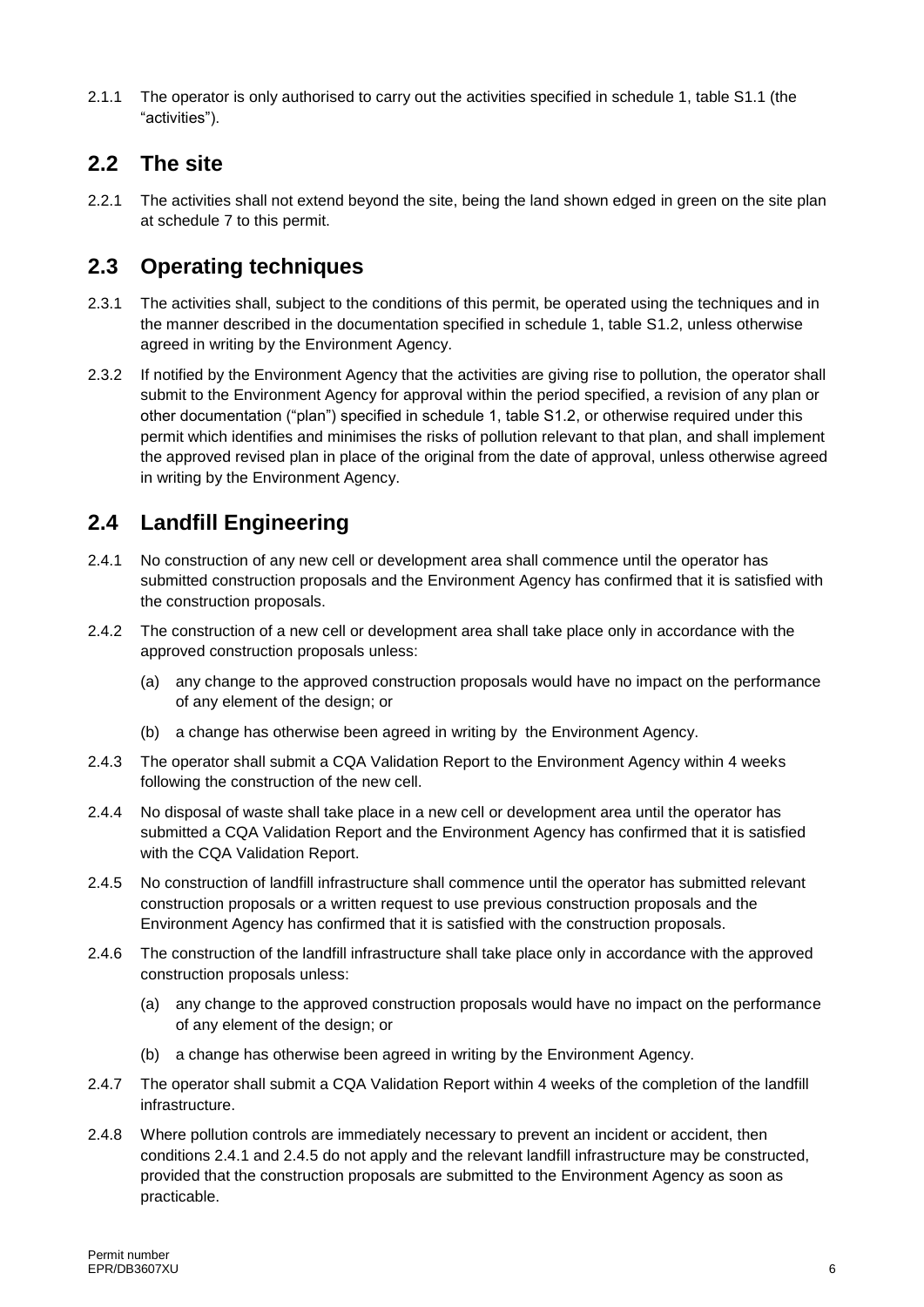2.1.1 The operator is only authorised to carry out the activities specified in schedule 1, table S1.1 (the "activities").

#### **2.2 The site**

2.2.1 The activities shall not extend beyond the site, being the land shown edged in green on the site plan at schedule 7 to this permit.

#### **2.3 Operating techniques**

- 2.3.1 The activities shall, subject to the conditions of this permit, be operated using the techniques and in the manner described in the documentation specified in schedule 1, table S1.2, unless otherwise agreed in writing by the Environment Agency.
- 2.3.2 If notified by the Environment Agency that the activities are giving rise to pollution, the operator shall submit to the Environment Agency for approval within the period specified, a revision of any plan or other documentation ("plan") specified in schedule 1, table S1.2, or otherwise required under this permit which identifies and minimises the risks of pollution relevant to that plan, and shall implement the approved revised plan in place of the original from the date of approval, unless otherwise agreed in writing by the Environment Agency.

### **2.4 Landfill Engineering**

- 2.4.1 No construction of any new cell or development area shall commence until the operator has submitted construction proposals and the Environment Agency has confirmed that it is satisfied with the construction proposals.
- 2.4.2 The construction of a new cell or development area shall take place only in accordance with the approved construction proposals unless:
	- (a) any change to the approved construction proposals would have no impact on the performance of any element of the design; or
	- (b) a change has otherwise been agreed in writing by the Environment Agency.
- 2.4.3 The operator shall submit a CQA Validation Report to the Environment Agency within 4 weeks following the construction of the new cell.
- 2.4.4 No disposal of waste shall take place in a new cell or development area until the operator has submitted a CQA Validation Report and the Environment Agency has confirmed that it is satisfied with the CQA Validation Report.
- 2.4.5 No construction of landfill infrastructure shall commence until the operator has submitted relevant construction proposals or a written request to use previous construction proposals and the Environment Agency has confirmed that it is satisfied with the construction proposals.
- 2.4.6 The construction of the landfill infrastructure shall take place only in accordance with the approved construction proposals unless:
	- (a) any change to the approved construction proposals would have no impact on the performance of any element of the design; or
	- (b) a change has otherwise been agreed in writing by the Environment Agency.
- 2.4.7 The operator shall submit a CQA Validation Report within 4 weeks of the completion of the landfill infrastructure.
- 2.4.8 Where pollution controls are immediately necessary to prevent an incident or accident, then conditions 2.4.1 and 2.4.5 do not apply and the relevant landfill infrastructure may be constructed, provided that the construction proposals are submitted to the Environment Agency as soon as practicable.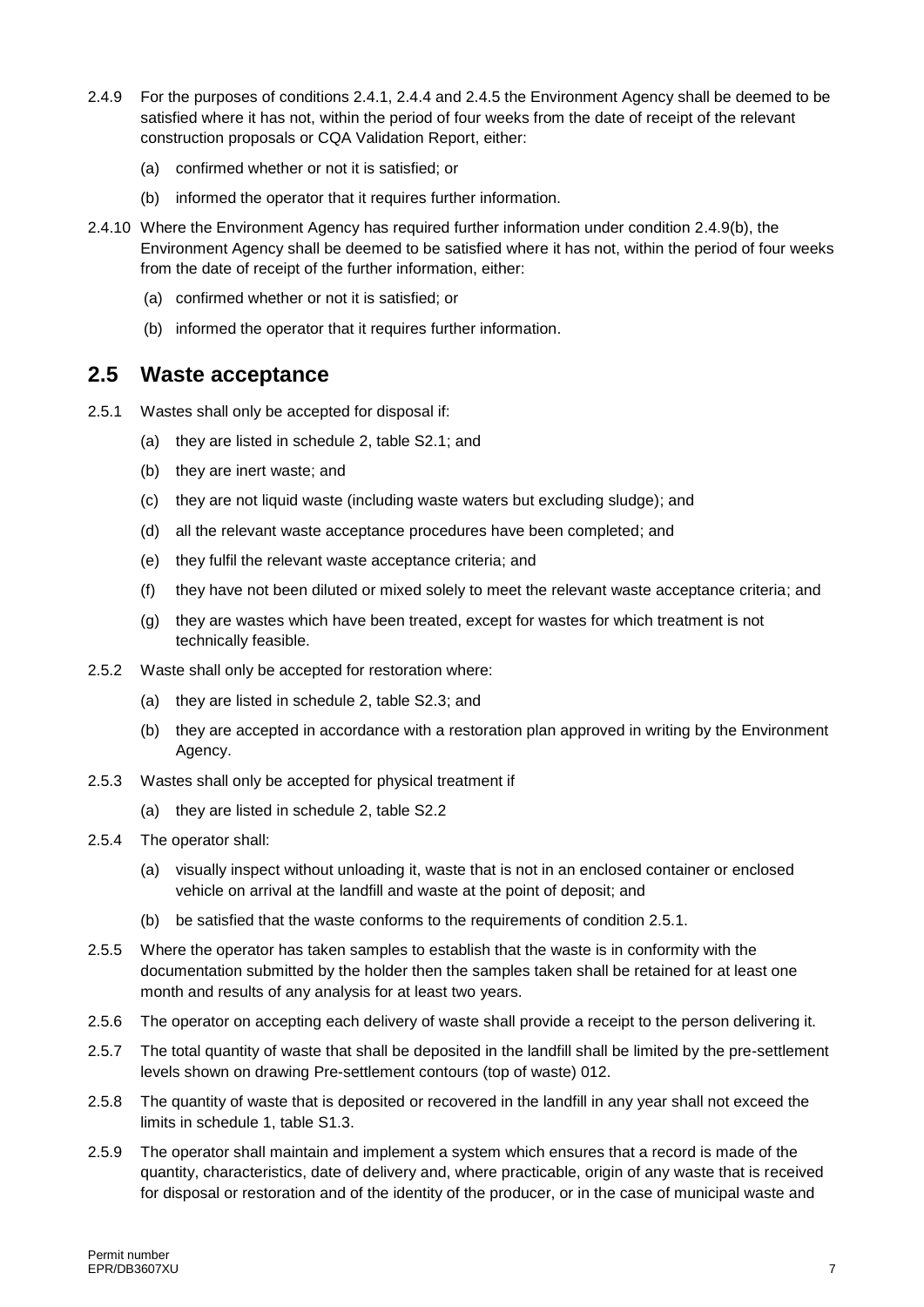- 2.4.9 For the purposes of conditions 2.4.1, 2.4.4 and 2.4.5 the Environment Agency shall be deemed to be satisfied where it has not, within the period of four weeks from the date of receipt of the relevant construction proposals or CQA Validation Report, either:
	- (a) confirmed whether or not it is satisfied; or
	- (b) informed the operator that it requires further information.
- 2.4.10 Where the Environment Agency has required further information under condition 2.4.9(b), the Environment Agency shall be deemed to be satisfied where it has not, within the period of four weeks from the date of receipt of the further information, either:
	- (a) confirmed whether or not it is satisfied; or
	- (b) informed the operator that it requires further information.

#### **2.5 Waste acceptance**

- 2.5.1 Wastes shall only be accepted for disposal if:
	- (a) they are listed in schedule 2, table S2.1; and
	- (b) they are inert waste; and
	- (c) they are not liquid waste (including waste waters but excluding sludge); and
	- (d) all the relevant waste acceptance procedures have been completed; and
	- (e) they fulfil the relevant waste acceptance criteria; and
	- (f) they have not been diluted or mixed solely to meet the relevant waste acceptance criteria; and
	- (g) they are wastes which have been treated, except for wastes for which treatment is not technically feasible.
- 2.5.2 Waste shall only be accepted for restoration where:
	- (a) they are listed in schedule 2, table S2.3; and
	- (b) they are accepted in accordance with a restoration plan approved in writing by the Environment Agency.
- 2.5.3 Wastes shall only be accepted for physical treatment if
	- (a) they are listed in schedule 2, table S2.2
- 2.5.4 The operator shall:
	- (a) visually inspect without unloading it, waste that is not in an enclosed container or enclosed vehicle on arrival at the landfill and waste at the point of deposit; and
	- (b) be satisfied that the waste conforms to the requirements of condition 2.5.1.
- 2.5.5 Where the operator has taken samples to establish that the waste is in conformity with the documentation submitted by the holder then the samples taken shall be retained for at least one month and results of any analysis for at least two years.
- 2.5.6 The operator on accepting each delivery of waste shall provide a receipt to the person delivering it.
- 2.5.7 The total quantity of waste that shall be deposited in the landfill shall be limited by the pre-settlement levels shown on drawing Pre-settlement contours (top of waste) 012.
- 2.5.8 The quantity of waste that is deposited or recovered in the landfill in any year shall not exceed the limits in schedule 1, table S1.3.
- 2.5.9 The operator shall maintain and implement a system which ensures that a record is made of the quantity, characteristics, date of delivery and, where practicable, origin of any waste that is received for disposal or restoration and of the identity of the producer, or in the case of municipal waste and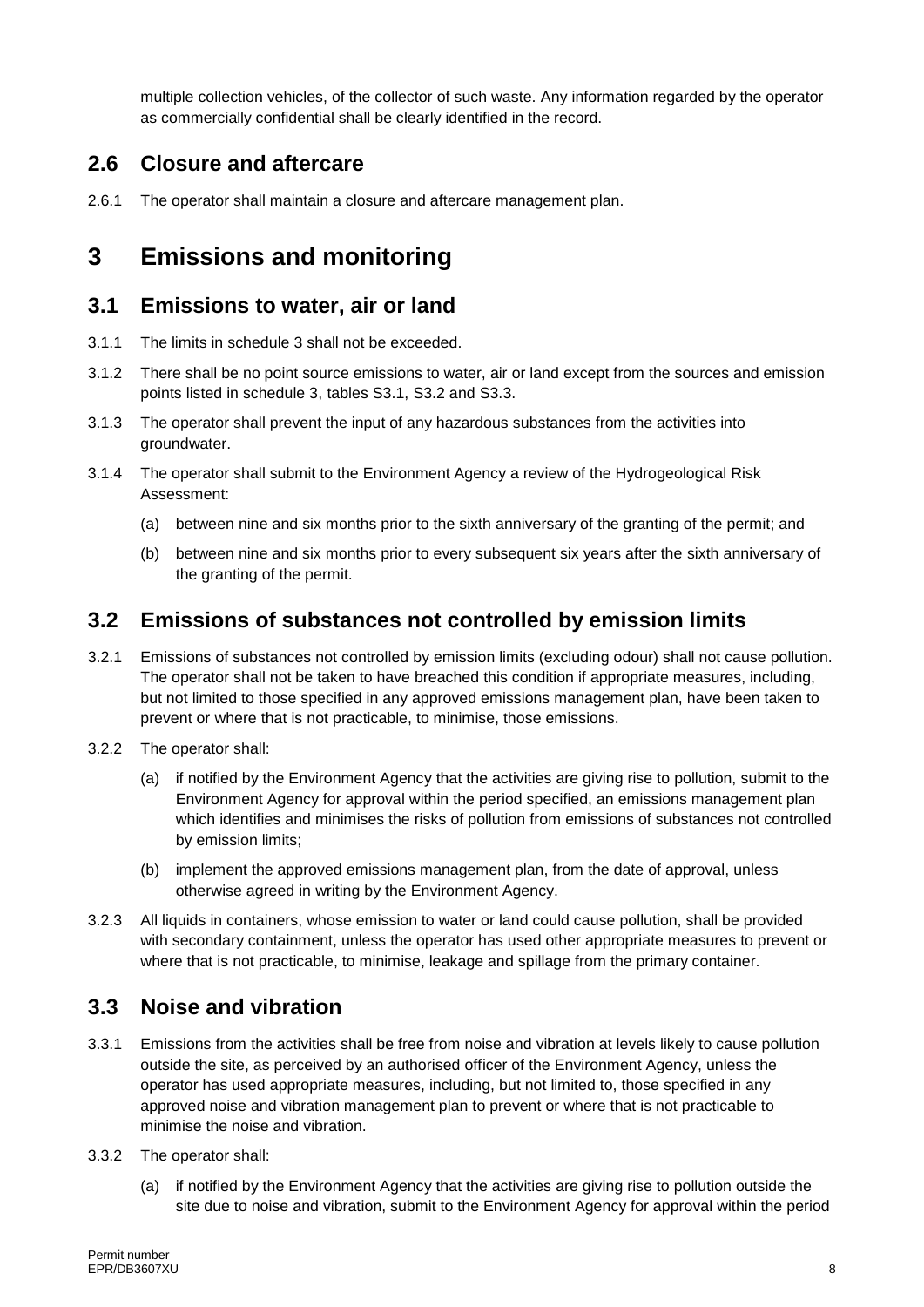multiple collection vehicles, of the collector of such waste. Any information regarded by the operator as commercially confidential shall be clearly identified in the record.

#### **2.6 Closure and aftercare**

2.6.1 The operator shall maintain a closure and aftercare management plan.

### **3 Emissions and monitoring**

#### **3.1 Emissions to water, air or land**

- 3.1.1 The limits in schedule 3 shall not be exceeded.
- 3.1.2 There shall be no point source emissions to water, air or land except from the sources and emission points listed in schedule 3, tables S3.1, S3.2 and S3.3.
- 3.1.3 The operator shall prevent the input of any hazardous substances from the activities into groundwater.
- 3.1.4 The operator shall submit to the Environment Agency a review of the Hydrogeological Risk Assessment:
	- (a) between nine and six months prior to the sixth anniversary of the granting of the permit; and
	- (b) between nine and six months prior to every subsequent six years after the sixth anniversary of the granting of the permit.

#### **3.2 Emissions of substances not controlled by emission limits**

- 3.2.1 Emissions of substances not controlled by emission limits (excluding odour) shall not cause pollution. The operator shall not be taken to have breached this condition if appropriate measures, including, but not limited to those specified in any approved emissions management plan, have been taken to prevent or where that is not practicable, to minimise, those emissions.
- 3.2.2 The operator shall:
	- (a) if notified by the Environment Agency that the activities are giving rise to pollution, submit to the Environment Agency for approval within the period specified, an emissions management plan which identifies and minimises the risks of pollution from emissions of substances not controlled by emission limits;
	- (b) implement the approved emissions management plan, from the date of approval, unless otherwise agreed in writing by the Environment Agency.
- 3.2.3 All liquids in containers, whose emission to water or land could cause pollution, shall be provided with secondary containment, unless the operator has used other appropriate measures to prevent or where that is not practicable, to minimise, leakage and spillage from the primary container.

#### **3.3 Noise and vibration**

- 3.3.1 Emissions from the activities shall be free from noise and vibration at levels likely to cause pollution outside the site, as perceived by an authorised officer of the Environment Agency, unless the operator has used appropriate measures, including, but not limited to, those specified in any approved noise and vibration management plan to prevent or where that is not practicable to minimise the noise and vibration.
- 3.3.2 The operator shall:
	- (a) if notified by the Environment Agency that the activities are giving rise to pollution outside the site due to noise and vibration, submit to the Environment Agency for approval within the period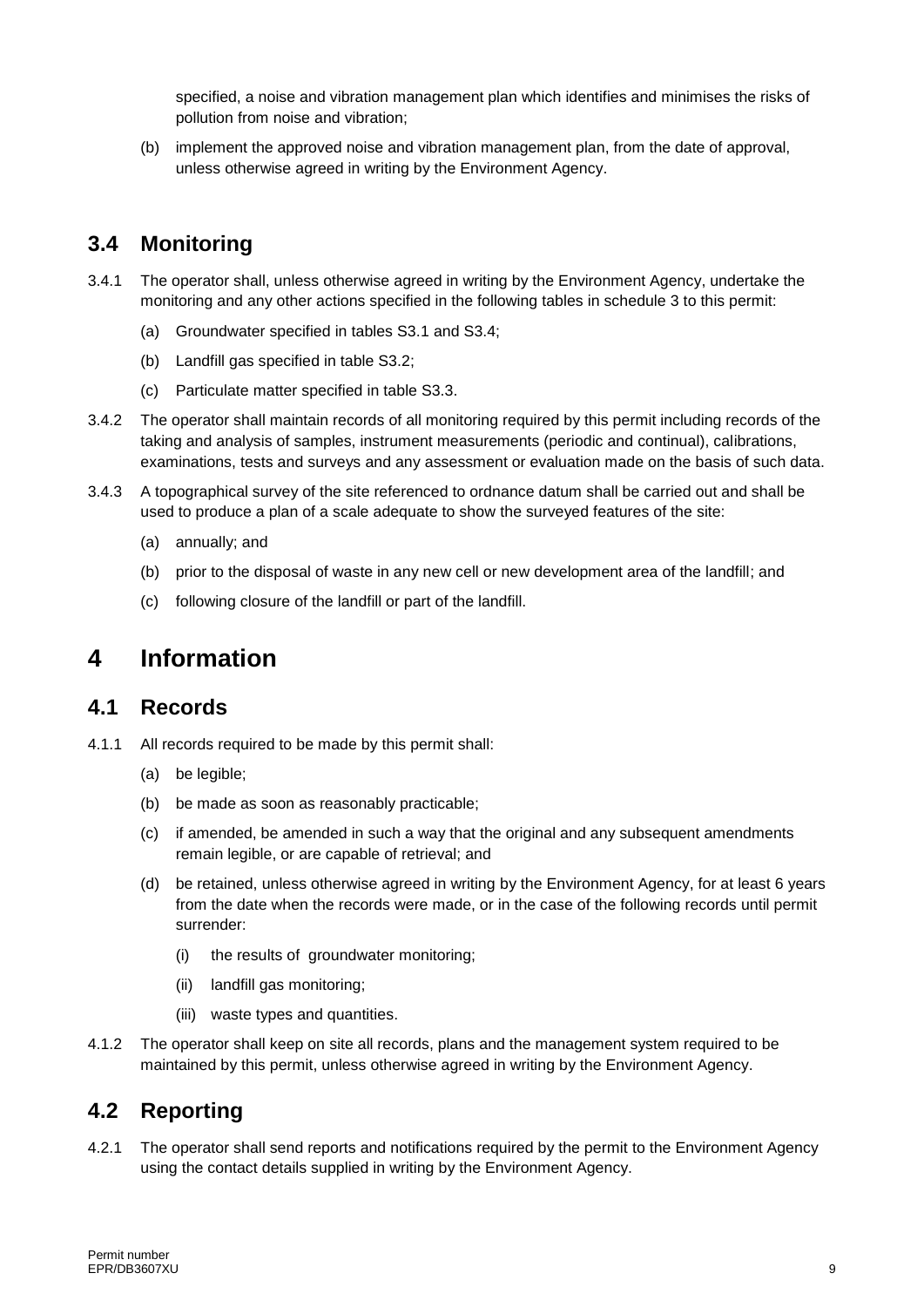specified, a noise and vibration management plan which identifies and minimises the risks of pollution from noise and vibration;

(b) implement the approved noise and vibration management plan, from the date of approval, unless otherwise agreed in writing by the Environment Agency.

### **3.4 Monitoring**

- 3.4.1 The operator shall, unless otherwise agreed in writing by the Environment Agency, undertake the monitoring and any other actions specified in the following tables in schedule 3 to this permit:
	- (a) Groundwater specified in tables S3.1 and S3.4;
	- (b) Landfill gas specified in table S3.2;
	- (c) Particulate matter specified in table S3.3.
- 3.4.2 The operator shall maintain records of all monitoring required by this permit including records of the taking and analysis of samples, instrument measurements (periodic and continual), calibrations, examinations, tests and surveys and any assessment or evaluation made on the basis of such data.
- 3.4.3 A topographical survey of the site referenced to ordnance datum shall be carried out and shall be used to produce a plan of a scale adequate to show the surveyed features of the site:
	- (a) annually; and
	- (b) prior to the disposal of waste in any new cell or new development area of the landfill; and
	- (c) following closure of the landfill or part of the landfill.

### **4 Information**

#### **4.1 Records**

4.1.1 All records required to be made by this permit shall:

- (a) be legible;
- (b) be made as soon as reasonably practicable;
- (c) if amended, be amended in such a way that the original and any subsequent amendments remain legible, or are capable of retrieval; and
- (d) be retained, unless otherwise agreed in writing by the Environment Agency, for at least 6 years from the date when the records were made, or in the case of the following records until permit surrender:
	- (i) the results of groundwater monitoring;
	- (ii) landfill gas monitoring;
	- (iii) waste types and quantities.
- 4.1.2 The operator shall keep on site all records, plans and the management system required to be maintained by this permit, unless otherwise agreed in writing by the Environment Agency.

#### **4.2 Reporting**

4.2.1 The operator shall send reports and notifications required by the permit to the Environment Agency using the contact details supplied in writing by the Environment Agency.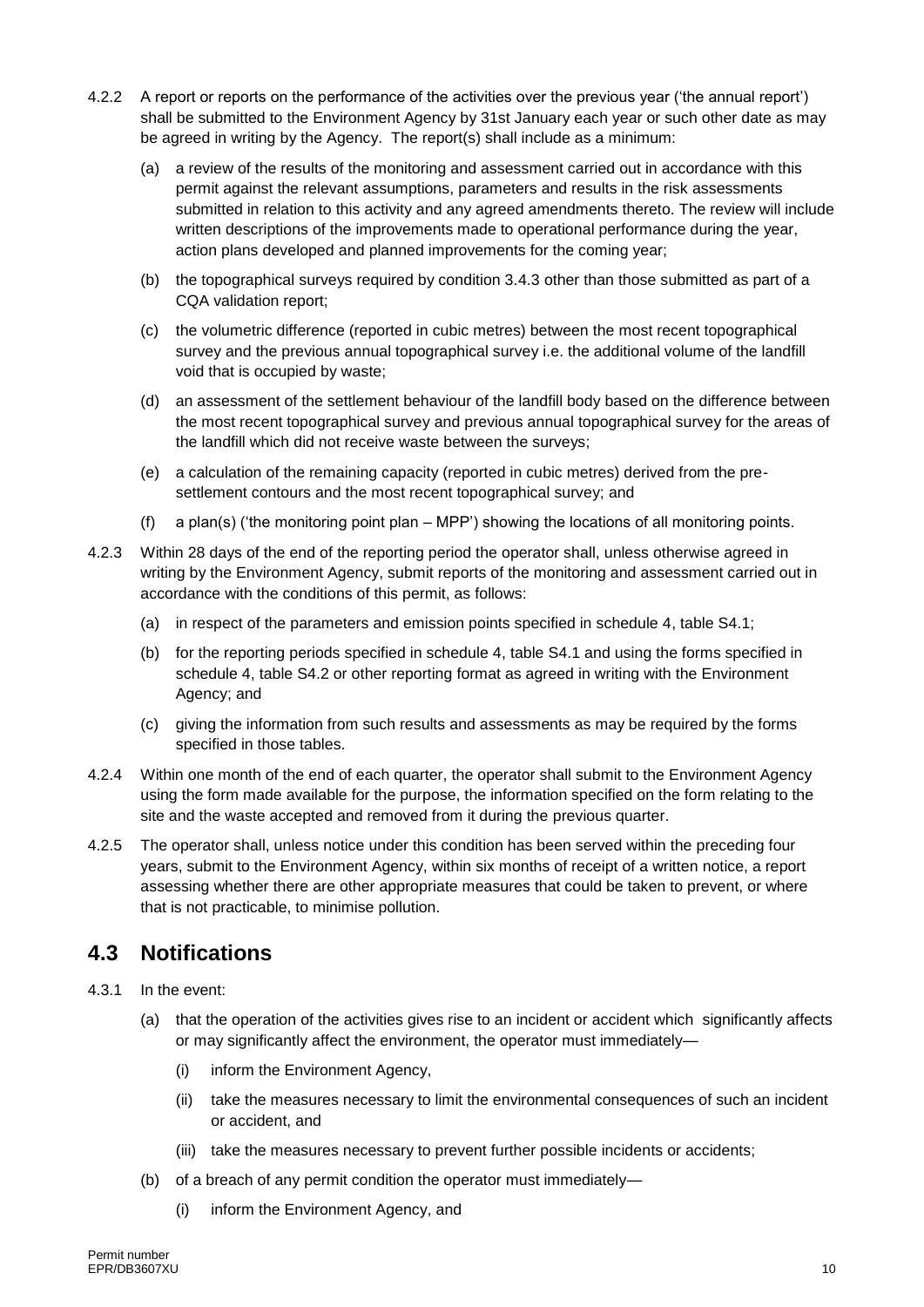- 4.2.2 A report or reports on the performance of the activities over the previous year ('the annual report') shall be submitted to the Environment Agency by 31st January each year or such other date as may be agreed in writing by the Agency. The report(s) shall include as a minimum:
	- (a) a review of the results of the monitoring and assessment carried out in accordance with this permit against the relevant assumptions, parameters and results in the risk assessments submitted in relation to this activity and any agreed amendments thereto. The review will include written descriptions of the improvements made to operational performance during the year, action plans developed and planned improvements for the coming year;
	- (b) the topographical surveys required by condition 3.4.3 other than those submitted as part of a CQA validation report;
	- (c) the volumetric difference (reported in cubic metres) between the most recent topographical survey and the previous annual topographical survey i.e. the additional volume of the landfill void that is occupied by waste;
	- (d) an assessment of the settlement behaviour of the landfill body based on the difference between the most recent topographical survey and previous annual topographical survey for the areas of the landfill which did not receive waste between the surveys;
	- (e) a calculation of the remaining capacity (reported in cubic metres) derived from the presettlement contours and the most recent topographical survey; and
	- (f) a plan(s) ('the monitoring point plan MPP') showing the locations of all monitoring points.
- 4.2.3 Within 28 days of the end of the reporting period the operator shall, unless otherwise agreed in writing by the Environment Agency, submit reports of the monitoring and assessment carried out in accordance with the conditions of this permit, as follows:
	- (a) in respect of the parameters and emission points specified in schedule 4, table S4.1;
	- (b) for the reporting periods specified in schedule 4, table S4.1 and using the forms specified in schedule 4, table S4.2 or other reporting format as agreed in writing with the Environment Agency; and
	- (c) giving the information from such results and assessments as may be required by the forms specified in those tables.
- 4.2.4 Within one month of the end of each quarter, the operator shall submit to the Environment Agency using the form made available for the purpose, the information specified on the form relating to the site and the waste accepted and removed from it during the previous quarter.
- 4.2.5 The operator shall, unless notice under this condition has been served within the preceding four years, submit to the Environment Agency, within six months of receipt of a written notice, a report assessing whether there are other appropriate measures that could be taken to prevent, or where that is not practicable, to minimise pollution.

#### **4.3 Notifications**

- 4.3.1 In the event:
	- (a) that the operation of the activities gives rise to an incident or accident which significantly affects or may significantly affect the environment, the operator must immediately—
		- (i) inform the Environment Agency,
		- (ii) take the measures necessary to limit the environmental consequences of such an incident or accident, and
		- (iii) take the measures necessary to prevent further possible incidents or accidents;
	- (b) of a breach of any permit condition the operator must immediately—
		- (i) inform the Environment Agency, and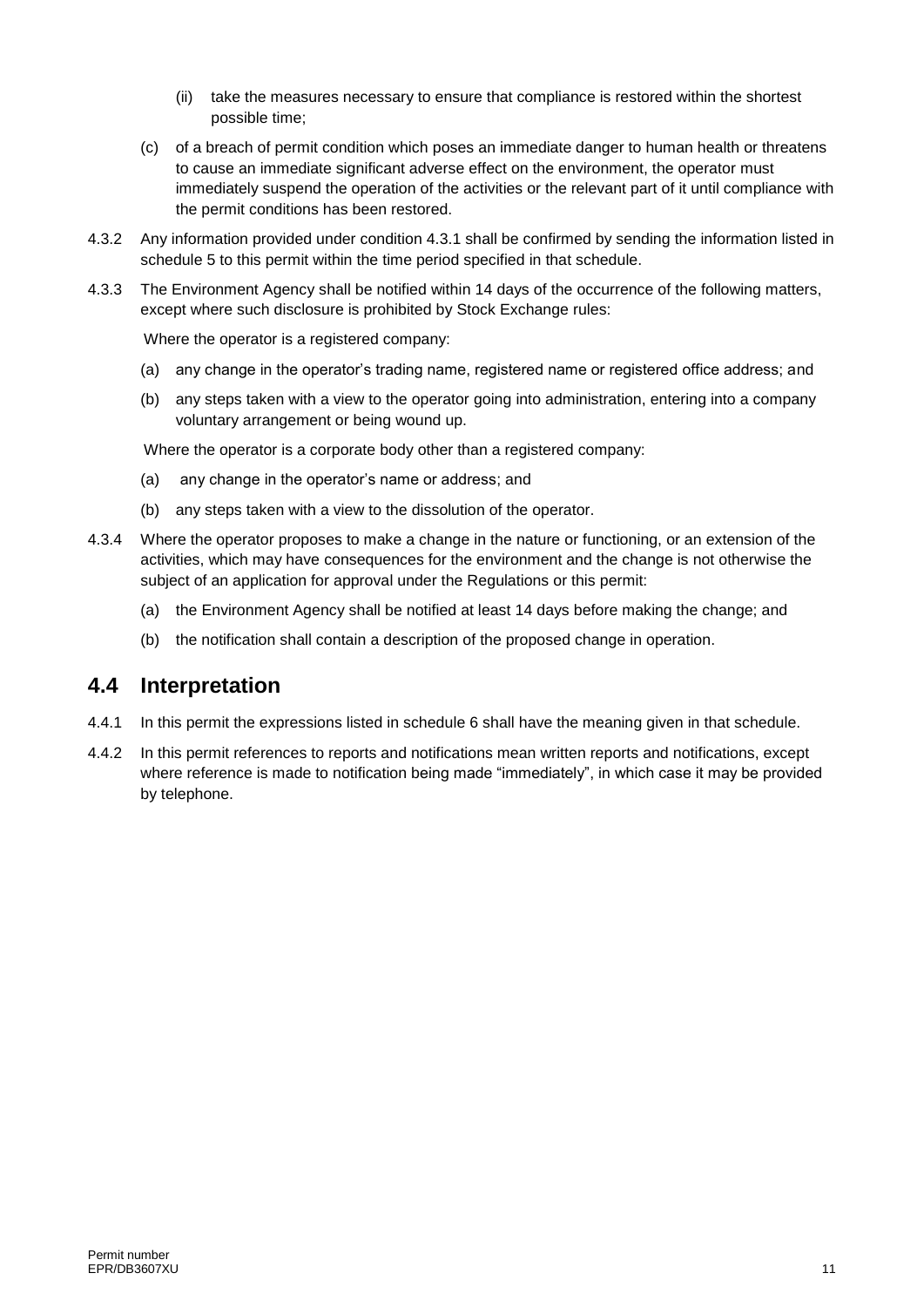- (ii) take the measures necessary to ensure that compliance is restored within the shortest possible time;
- (c) of a breach of permit condition which poses an immediate danger to human health or threatens to cause an immediate significant adverse effect on the environment, the operator must immediately suspend the operation of the activities or the relevant part of it until compliance with the permit conditions has been restored.
- 4.3.2 Any information provided under condition 4.3.1 shall be confirmed by sending the information listed in schedule 5 to this permit within the time period specified in that schedule.
- 4.3.3 The Environment Agency shall be notified within 14 days of the occurrence of the following matters, except where such disclosure is prohibited by Stock Exchange rules:

Where the operator is a registered company:

- (a) any change in the operator's trading name, registered name or registered office address; and
- (b) any steps taken with a view to the operator going into administration, entering into a company voluntary arrangement or being wound up.

Where the operator is a corporate body other than a registered company:

- (a) any change in the operator's name or address; and
- (b) any steps taken with a view to the dissolution of the operator.
- 4.3.4 Where the operator proposes to make a change in the nature or functioning, or an extension of the activities, which may have consequences for the environment and the change is not otherwise the subject of an application for approval under the Regulations or this permit:
	- (a) the Environment Agency shall be notified at least 14 days before making the change; and
	- (b) the notification shall contain a description of the proposed change in operation.

#### **4.4 Interpretation**

- 4.4.1 In this permit the expressions listed in schedule 6 shall have the meaning given in that schedule.
- 4.4.2 In this permit references to reports and notifications mean written reports and notifications, except where reference is made to notification being made "immediately", in which case it may be provided by telephone.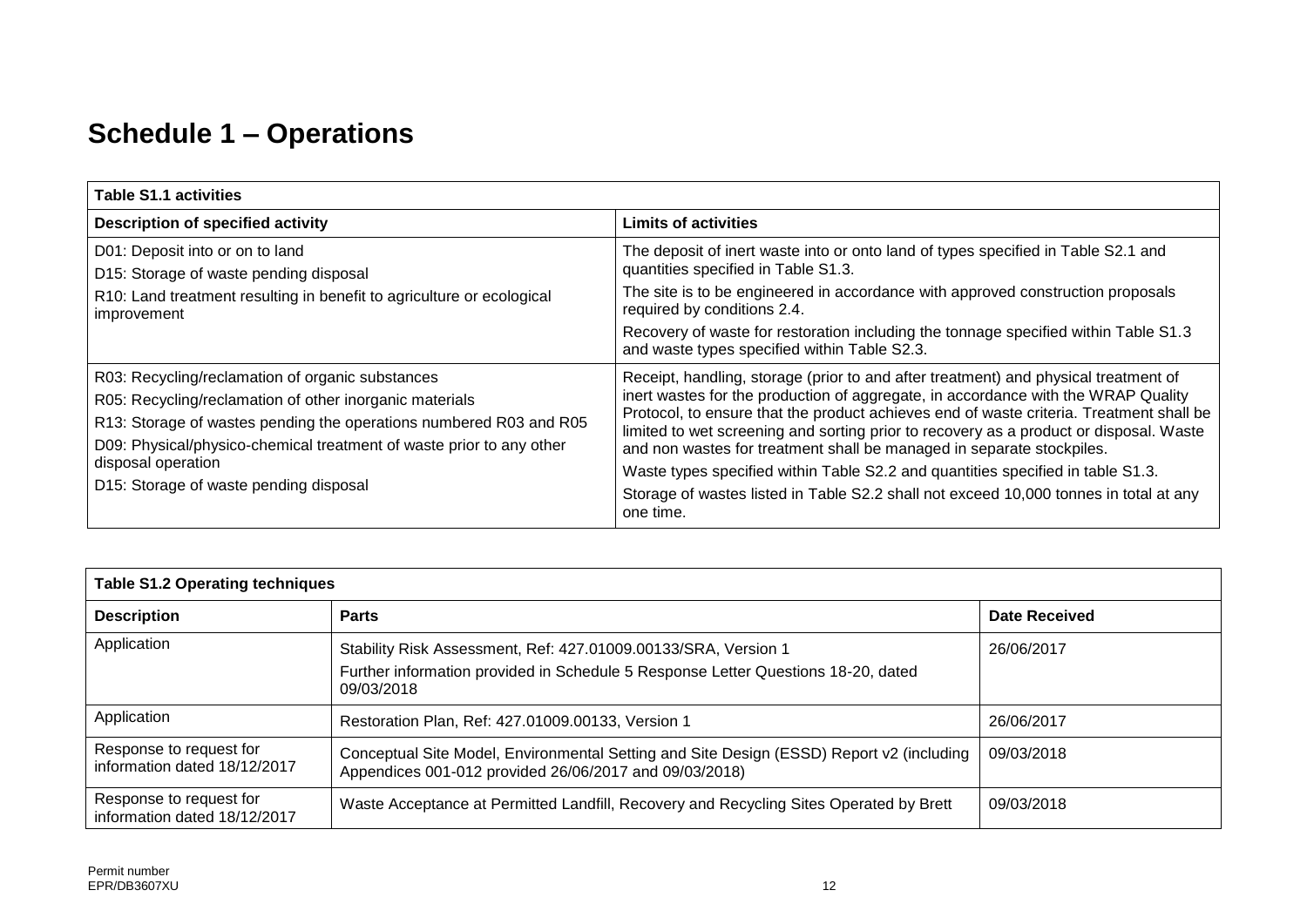## **Schedule 1 – Operations**

| <b>Table S1.1 activities</b>                                                                                                                                                                                                                                                                                              |                                                                                                                                                                                                                                                                                                                                                                                                                                                                                                                                                                                                                                 |  |  |
|---------------------------------------------------------------------------------------------------------------------------------------------------------------------------------------------------------------------------------------------------------------------------------------------------------------------------|---------------------------------------------------------------------------------------------------------------------------------------------------------------------------------------------------------------------------------------------------------------------------------------------------------------------------------------------------------------------------------------------------------------------------------------------------------------------------------------------------------------------------------------------------------------------------------------------------------------------------------|--|--|
| <b>Description of specified activity</b>                                                                                                                                                                                                                                                                                  | <b>Limits of activities</b>                                                                                                                                                                                                                                                                                                                                                                                                                                                                                                                                                                                                     |  |  |
| D01: Deposit into or on to land<br>D15: Storage of waste pending disposal<br>R10: Land treatment resulting in benefit to agriculture or ecological<br>improvement                                                                                                                                                         | The deposit of inert waste into or onto land of types specified in Table S2.1 and<br>quantities specified in Table S1.3.<br>The site is to be engineered in accordance with approved construction proposals<br>required by conditions 2.4.<br>Recovery of waste for restoration including the tonnage specified within Table S1.3<br>and waste types specified within Table S2.3.                                                                                                                                                                                                                                               |  |  |
| R03: Recycling/reclamation of organic substances<br>R05: Recycling/reclamation of other inorganic materials<br>R13: Storage of wastes pending the operations numbered R03 and R05<br>D09: Physical/physico-chemical treatment of waste prior to any other<br>disposal operation<br>D15: Storage of waste pending disposal | Receipt, handling, storage (prior to and after treatment) and physical treatment of<br>inert wastes for the production of aggregate, in accordance with the WRAP Quality<br>Protocol, to ensure that the product achieves end of waste criteria. Treatment shall be<br>limited to wet screening and sorting prior to recovery as a product or disposal. Waste<br>and non wastes for treatment shall be managed in separate stockpiles.<br>Waste types specified within Table S2.2 and quantities specified in table S1.3.<br>Storage of wastes listed in Table S2.2 shall not exceed 10,000 tonnes in total at any<br>one time. |  |  |

| <b>Table S1.2 Operating techniques</b>                  |                                                                                                                                                                   |               |  |  |
|---------------------------------------------------------|-------------------------------------------------------------------------------------------------------------------------------------------------------------------|---------------|--|--|
| <b>Description</b>                                      | <b>Parts</b>                                                                                                                                                      | Date Received |  |  |
| Application                                             | Stability Risk Assessment, Ref: 427.01009.00133/SRA, Version 1<br>Further information provided in Schedule 5 Response Letter Questions 18-20, dated<br>09/03/2018 | 26/06/2017    |  |  |
| Application                                             | Restoration Plan, Ref: 427.01009.00133, Version 1                                                                                                                 | 26/06/2017    |  |  |
| Response to request for<br>information dated 18/12/2017 | Conceptual Site Model, Environmental Setting and Site Design (ESSD) Report v2 (including<br>Appendices 001-012 provided 26/06/2017 and 09/03/2018)                | 09/03/2018    |  |  |
| Response to request for<br>information dated 18/12/2017 | Waste Acceptance at Permitted Landfill, Recovery and Recycling Sites Operated by Brett                                                                            | 09/03/2018    |  |  |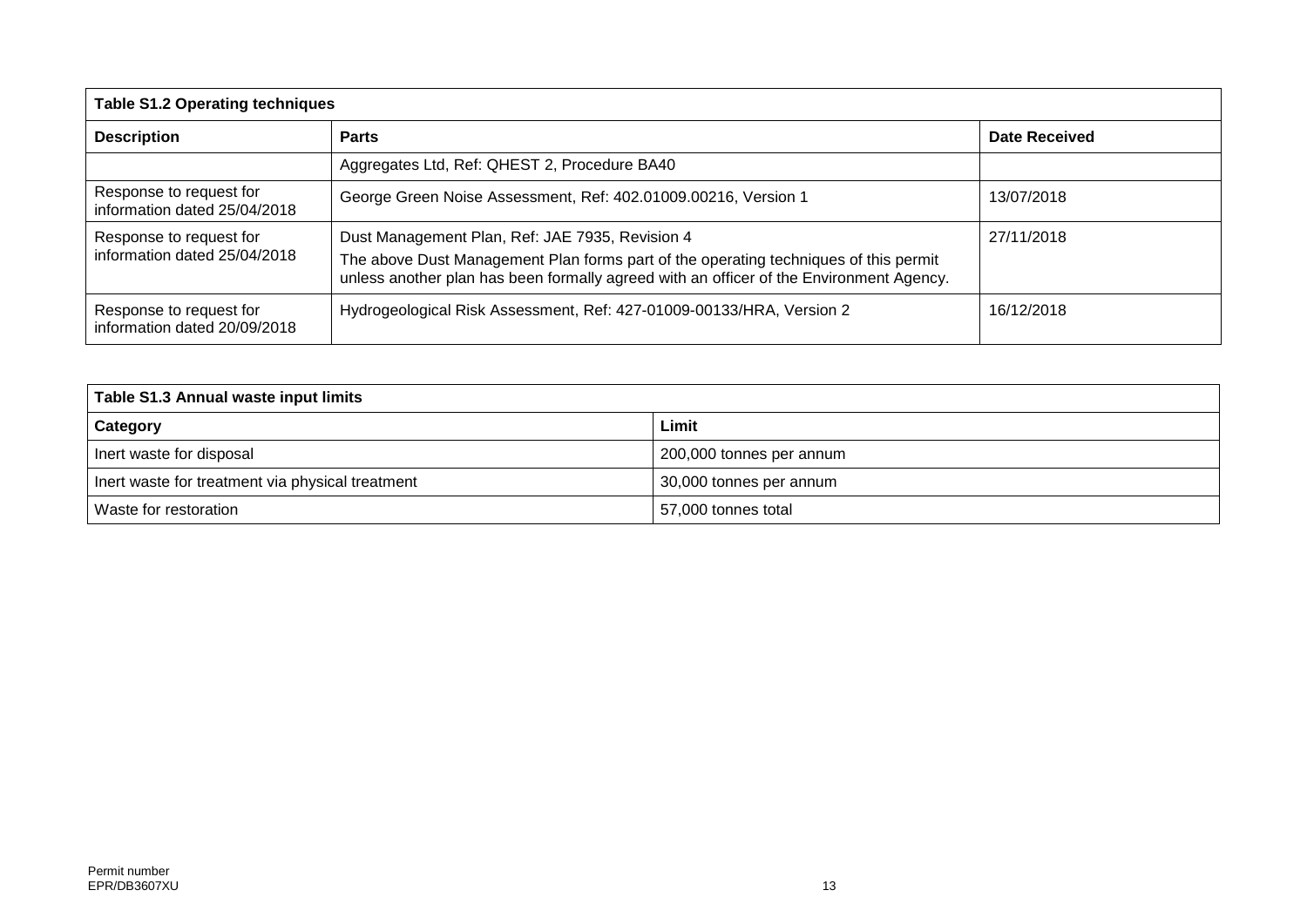| <b>Table S1.2 Operating techniques</b>                  |                                                                                                                                                                                 |                      |  |  |
|---------------------------------------------------------|---------------------------------------------------------------------------------------------------------------------------------------------------------------------------------|----------------------|--|--|
| <b>Description</b><br><b>Parts</b>                      |                                                                                                                                                                                 | <b>Date Received</b> |  |  |
|                                                         | Aggregates Ltd, Ref: QHEST 2, Procedure BA40                                                                                                                                    |                      |  |  |
| Response to request for<br>information dated 25/04/2018 | George Green Noise Assessment, Ref: 402.01009.00216, Version 1                                                                                                                  | 13/07/2018           |  |  |
| Response to request for                                 | Dust Management Plan, Ref: JAE 7935, Revision 4                                                                                                                                 | 27/11/2018           |  |  |
| information dated 25/04/2018                            | The above Dust Management Plan forms part of the operating techniques of this permit<br>unless another plan has been formally agreed with an officer of the Environment Agency. |                      |  |  |
| Response to request for<br>information dated 20/09/2018 | Hydrogeological Risk Assessment, Ref: 427-01009-00133/HRA, Version 2                                                                                                            | 16/12/2018           |  |  |

| Table S1.3 Annual waste input limits             |                          |  |  |
|--------------------------------------------------|--------------------------|--|--|
| Category                                         | Limit                    |  |  |
| Inert waste for disposal                         | 200,000 tonnes per annum |  |  |
| Inert waste for treatment via physical treatment | 30,000 tonnes per annum  |  |  |
| Waste for restoration                            | 57,000 tonnes total      |  |  |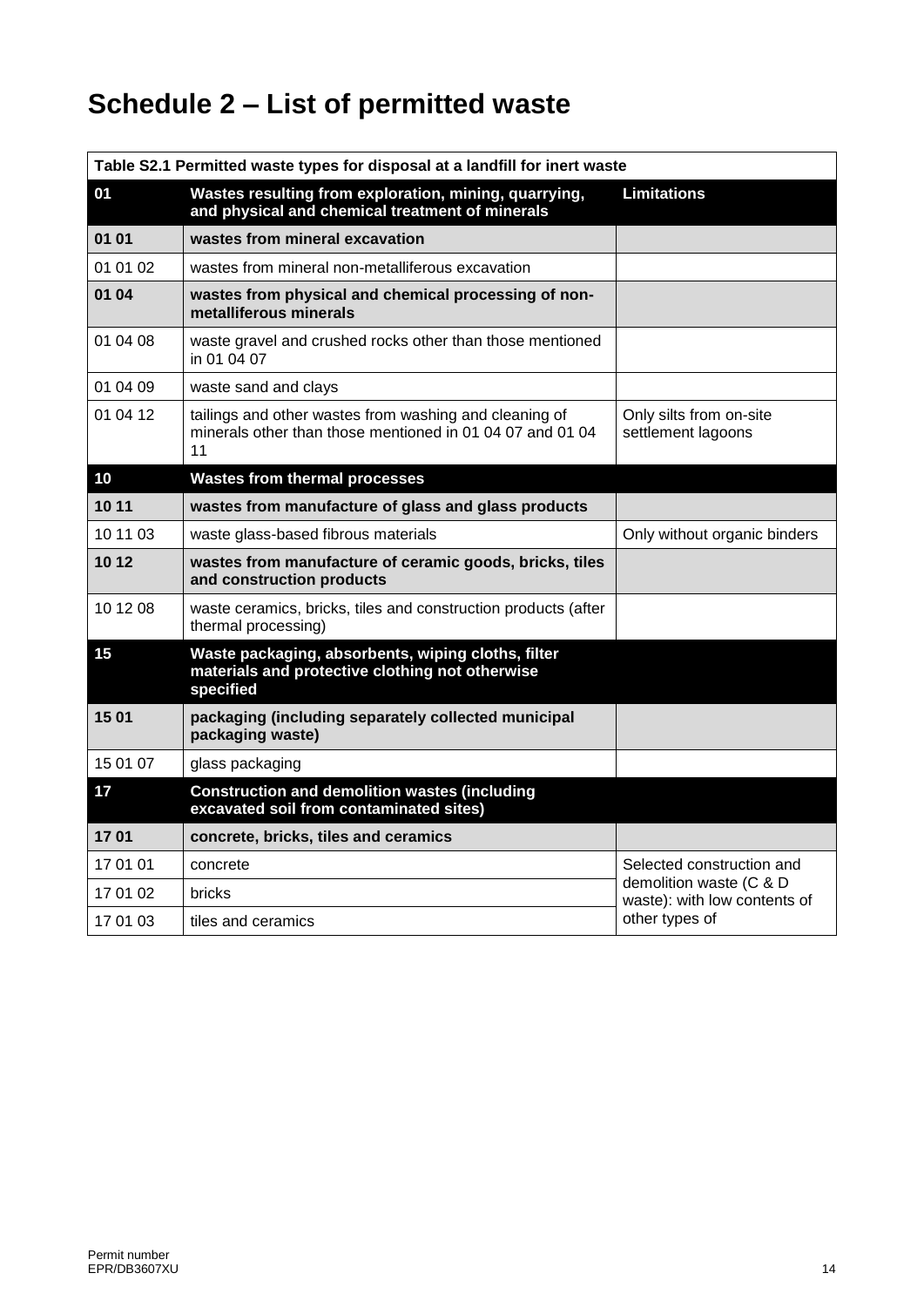## **Schedule 2 – List of permitted waste**

| Table S2.1 Permitted waste types for disposal at a landfill for inert waste |                                                                                                                           |                                                                           |  |
|-----------------------------------------------------------------------------|---------------------------------------------------------------------------------------------------------------------------|---------------------------------------------------------------------------|--|
| 01                                                                          | Wastes resulting from exploration, mining, quarrying,<br>and physical and chemical treatment of minerals                  | <b>Limitations</b>                                                        |  |
| 01 01                                                                       | wastes from mineral excavation                                                                                            |                                                                           |  |
| 01 01 02                                                                    | wastes from mineral non-metalliferous excavation                                                                          |                                                                           |  |
| 01 04                                                                       | wastes from physical and chemical processing of non-<br>metalliferous minerals                                            |                                                                           |  |
| 01 04 08                                                                    | waste gravel and crushed rocks other than those mentioned<br>in 01 04 07                                                  |                                                                           |  |
| 01 04 09                                                                    | waste sand and clays                                                                                                      |                                                                           |  |
| 01 04 12                                                                    | tailings and other wastes from washing and cleaning of<br>minerals other than those mentioned in 01 04 07 and 01 04<br>11 | Only silts from on-site<br>settlement lagoons                             |  |
| 10                                                                          | <b>Wastes from thermal processes</b>                                                                                      |                                                                           |  |
| 10 11                                                                       | wastes from manufacture of glass and glass products                                                                       |                                                                           |  |
| 10 11 03                                                                    | waste glass-based fibrous materials                                                                                       | Only without organic binders                                              |  |
| 10 12                                                                       | wastes from manufacture of ceramic goods, bricks, tiles<br>and construction products                                      |                                                                           |  |
| 10 12 08                                                                    | waste ceramics, bricks, tiles and construction products (after<br>thermal processing)                                     |                                                                           |  |
| 15                                                                          | Waste packaging, absorbents, wiping cloths, filter<br>materials and protective clothing not otherwise<br>specified        |                                                                           |  |
| 15 01                                                                       | packaging (including separately collected municipal<br>packaging waste)                                                   |                                                                           |  |
| 15 01 07                                                                    | glass packaging                                                                                                           |                                                                           |  |
| 17                                                                          | <b>Construction and demolition wastes (including</b><br>excavated soil from contaminated sites)                           |                                                                           |  |
| 1701                                                                        | concrete, bricks, tiles and ceramics                                                                                      |                                                                           |  |
| 17 01 01                                                                    | concrete                                                                                                                  | Selected construction and                                                 |  |
| 17 01 02                                                                    | bricks                                                                                                                    | demolition waste (C & D<br>waste): with low contents of<br>other types of |  |
| 17 01 03                                                                    | tiles and ceramics                                                                                                        |                                                                           |  |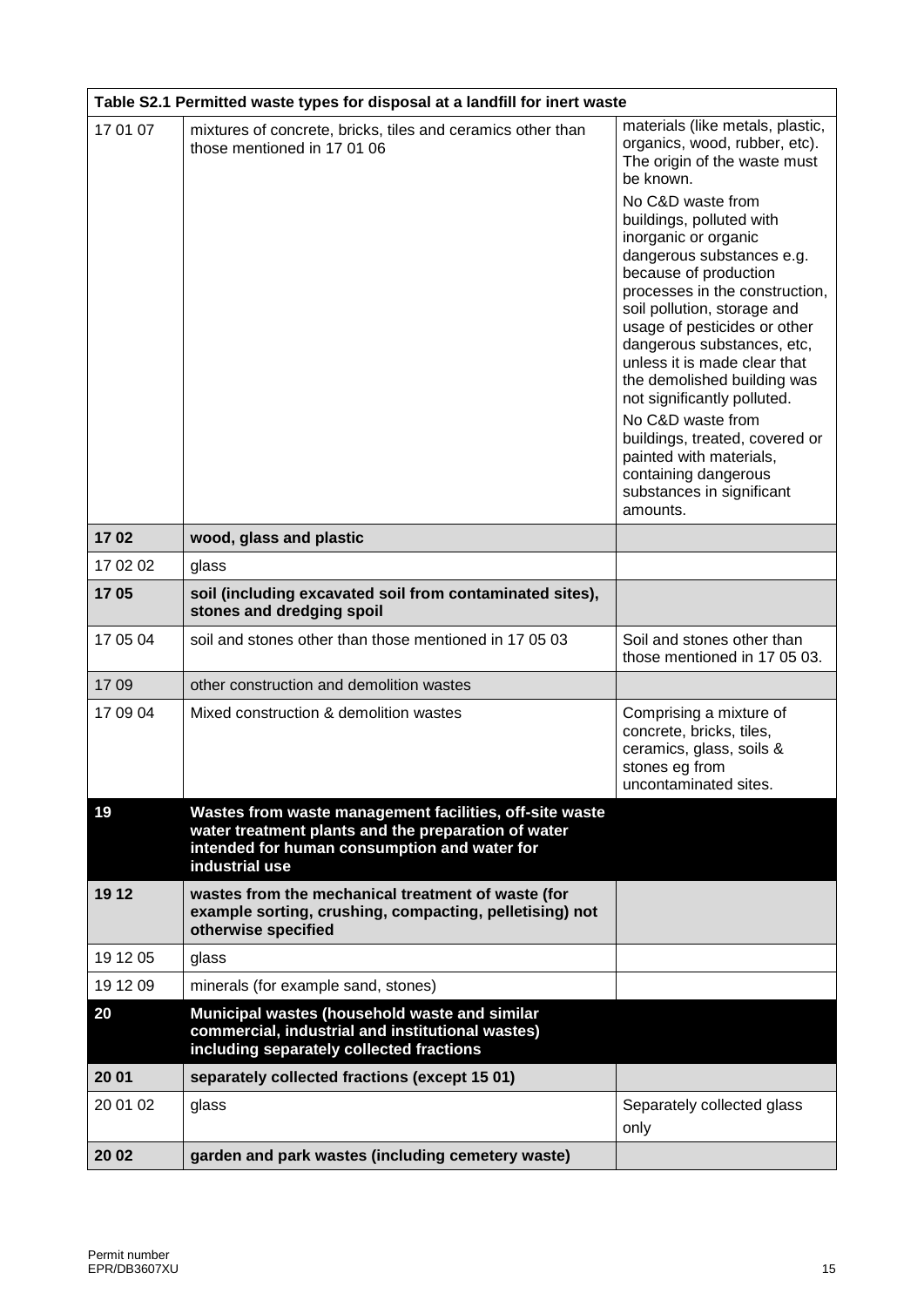|          | Table S2.1 Permitted waste types for disposal at a landfill for inert waste                                                                                                      |                                                                                                                                                                                                                                                                                                                                                                                                                                                                                                                                                                                      |  |  |
|----------|----------------------------------------------------------------------------------------------------------------------------------------------------------------------------------|--------------------------------------------------------------------------------------------------------------------------------------------------------------------------------------------------------------------------------------------------------------------------------------------------------------------------------------------------------------------------------------------------------------------------------------------------------------------------------------------------------------------------------------------------------------------------------------|--|--|
| 17 01 07 | mixtures of concrete, bricks, tiles and ceramics other than<br>those mentioned in 17 01 06                                                                                       | materials (like metals, plastic,<br>organics, wood, rubber, etc).<br>The origin of the waste must<br>be known.<br>No C&D waste from<br>buildings, polluted with<br>inorganic or organic<br>dangerous substances e.g.<br>because of production<br>processes in the construction,<br>soil pollution, storage and<br>usage of pesticides or other<br>dangerous substances, etc,<br>unless it is made clear that<br>the demolished building was<br>not significantly polluted.<br>No C&D waste from<br>buildings, treated, covered or<br>painted with materials,<br>containing dangerous |  |  |
|          |                                                                                                                                                                                  | substances in significant<br>amounts.                                                                                                                                                                                                                                                                                                                                                                                                                                                                                                                                                |  |  |
| 1702     | wood, glass and plastic                                                                                                                                                          |                                                                                                                                                                                                                                                                                                                                                                                                                                                                                                                                                                                      |  |  |
| 17 02 02 | glass                                                                                                                                                                            |                                                                                                                                                                                                                                                                                                                                                                                                                                                                                                                                                                                      |  |  |
| 1705     | soil (including excavated soil from contaminated sites),<br>stones and dredging spoil                                                                                            |                                                                                                                                                                                                                                                                                                                                                                                                                                                                                                                                                                                      |  |  |
| 17 05 04 | soil and stones other than those mentioned in 17 05 03                                                                                                                           | Soil and stones other than<br>those mentioned in 17 05 03.                                                                                                                                                                                                                                                                                                                                                                                                                                                                                                                           |  |  |
| 1709     | other construction and demolition wastes                                                                                                                                         |                                                                                                                                                                                                                                                                                                                                                                                                                                                                                                                                                                                      |  |  |
| 17 09 04 | Mixed construction & demolition wastes                                                                                                                                           | Comprising a mixture of<br>concrete, bricks, tiles,<br>ceramics, glass, soils &<br>stones eg from<br>uncontaminated sites.                                                                                                                                                                                                                                                                                                                                                                                                                                                           |  |  |
| 19       | Wastes from waste management facilities, off-site waste<br>water treatment plants and the preparation of water<br>intended for human consumption and water for<br>industrial use |                                                                                                                                                                                                                                                                                                                                                                                                                                                                                                                                                                                      |  |  |
| 19 12    | wastes from the mechanical treatment of waste (for<br>example sorting, crushing, compacting, pelletising) not<br>otherwise specified                                             |                                                                                                                                                                                                                                                                                                                                                                                                                                                                                                                                                                                      |  |  |
| 19 12 05 | glass                                                                                                                                                                            |                                                                                                                                                                                                                                                                                                                                                                                                                                                                                                                                                                                      |  |  |
| 19 12 09 | minerals (for example sand, stones)                                                                                                                                              |                                                                                                                                                                                                                                                                                                                                                                                                                                                                                                                                                                                      |  |  |
| 20       | Municipal wastes (household waste and similar<br>commercial, industrial and institutional wastes)<br>including separately collected fractions                                    |                                                                                                                                                                                                                                                                                                                                                                                                                                                                                                                                                                                      |  |  |
| 20 01    | separately collected fractions (except 15 01)                                                                                                                                    |                                                                                                                                                                                                                                                                                                                                                                                                                                                                                                                                                                                      |  |  |
| 20 01 02 | glass                                                                                                                                                                            | Separately collected glass<br>only                                                                                                                                                                                                                                                                                                                                                                                                                                                                                                                                                   |  |  |
| 20 02    | garden and park wastes (including cemetery waste)                                                                                                                                |                                                                                                                                                                                                                                                                                                                                                                                                                                                                                                                                                                                      |  |  |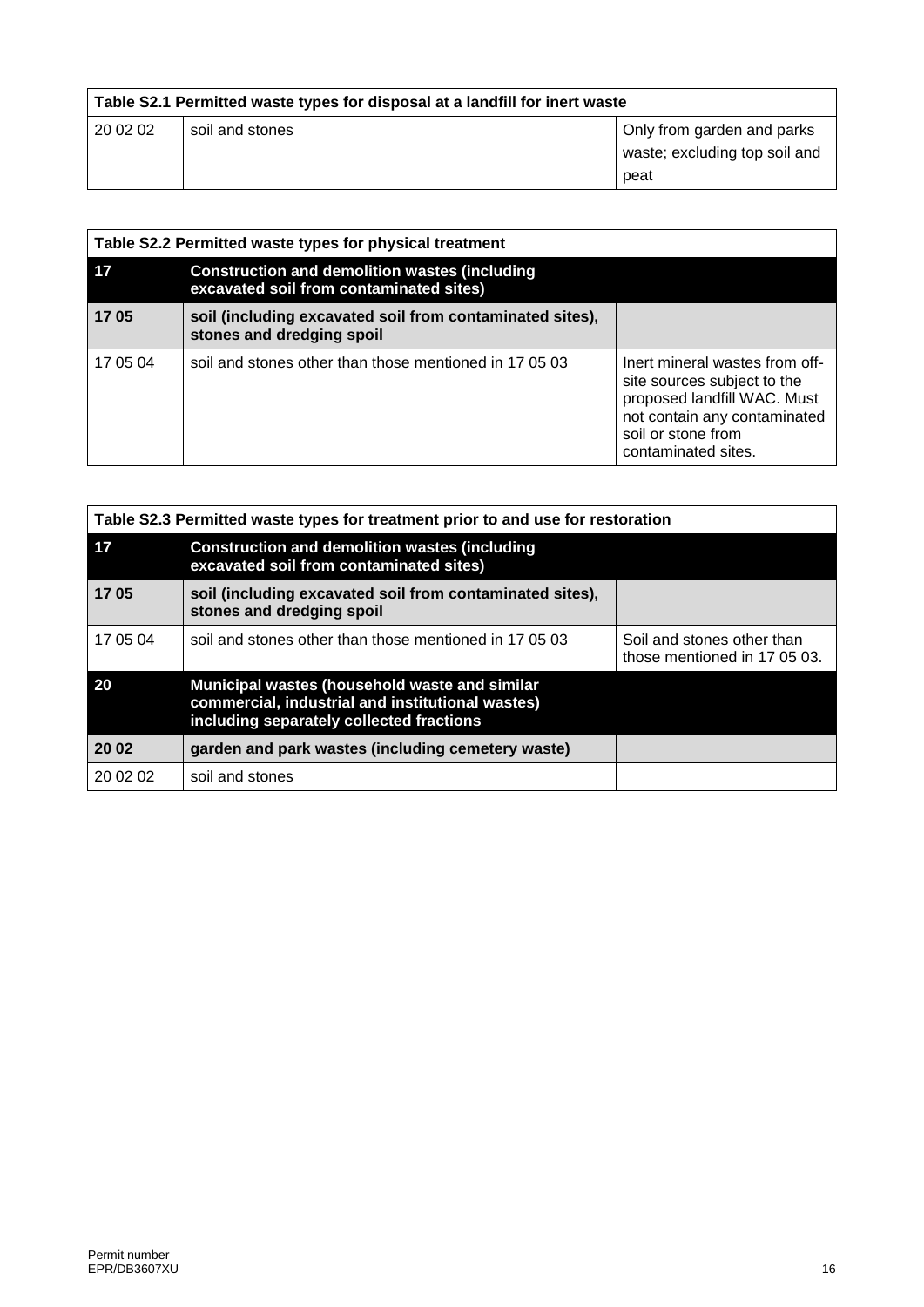| Table S2.1 Permitted waste types for disposal at a landfill for inert waste |                 |                               |
|-----------------------------------------------------------------------------|-----------------|-------------------------------|
| 20 02 02                                                                    | soil and stones | Only from garden and parks    |
|                                                                             |                 | waste; excluding top soil and |
|                                                                             |                 | peat                          |

| Table S2.2 Permitted waste types for physical treatment |                                                                                                 |                                                                                                                                                                           |  |
|---------------------------------------------------------|-------------------------------------------------------------------------------------------------|---------------------------------------------------------------------------------------------------------------------------------------------------------------------------|--|
| 17                                                      | <b>Construction and demolition wastes (including</b><br>excavated soil from contaminated sites) |                                                                                                                                                                           |  |
| 1705                                                    | soil (including excavated soil from contaminated sites),<br>stones and dredging spoil           |                                                                                                                                                                           |  |
| 17 05 04                                                | soil and stones other than those mentioned in 17 05 03                                          | Inert mineral wastes from off-<br>site sources subject to the<br>proposed landfill WAC. Must<br>not contain any contaminated<br>soil or stone from<br>contaminated sites. |  |

| Table S2.3 Permitted waste types for treatment prior to and use for restoration |                                                                                                                                               |                                                            |  |
|---------------------------------------------------------------------------------|-----------------------------------------------------------------------------------------------------------------------------------------------|------------------------------------------------------------|--|
| 17                                                                              | <b>Construction and demolition wastes (including</b><br>excavated soil from contaminated sites)                                               |                                                            |  |
| 1705                                                                            | soil (including excavated soil from contaminated sites),<br>stones and dredging spoil                                                         |                                                            |  |
| 17 05 04                                                                        | soil and stones other than those mentioned in 17 05 03                                                                                        | Soil and stones other than<br>those mentioned in 17 05 03. |  |
| 20                                                                              | Municipal wastes (household waste and similar<br>commercial, industrial and institutional wastes)<br>including separately collected fractions |                                                            |  |
| 20 02                                                                           | garden and park wastes (including cemetery waste)                                                                                             |                                                            |  |
| 20 02 02                                                                        | soil and stones                                                                                                                               |                                                            |  |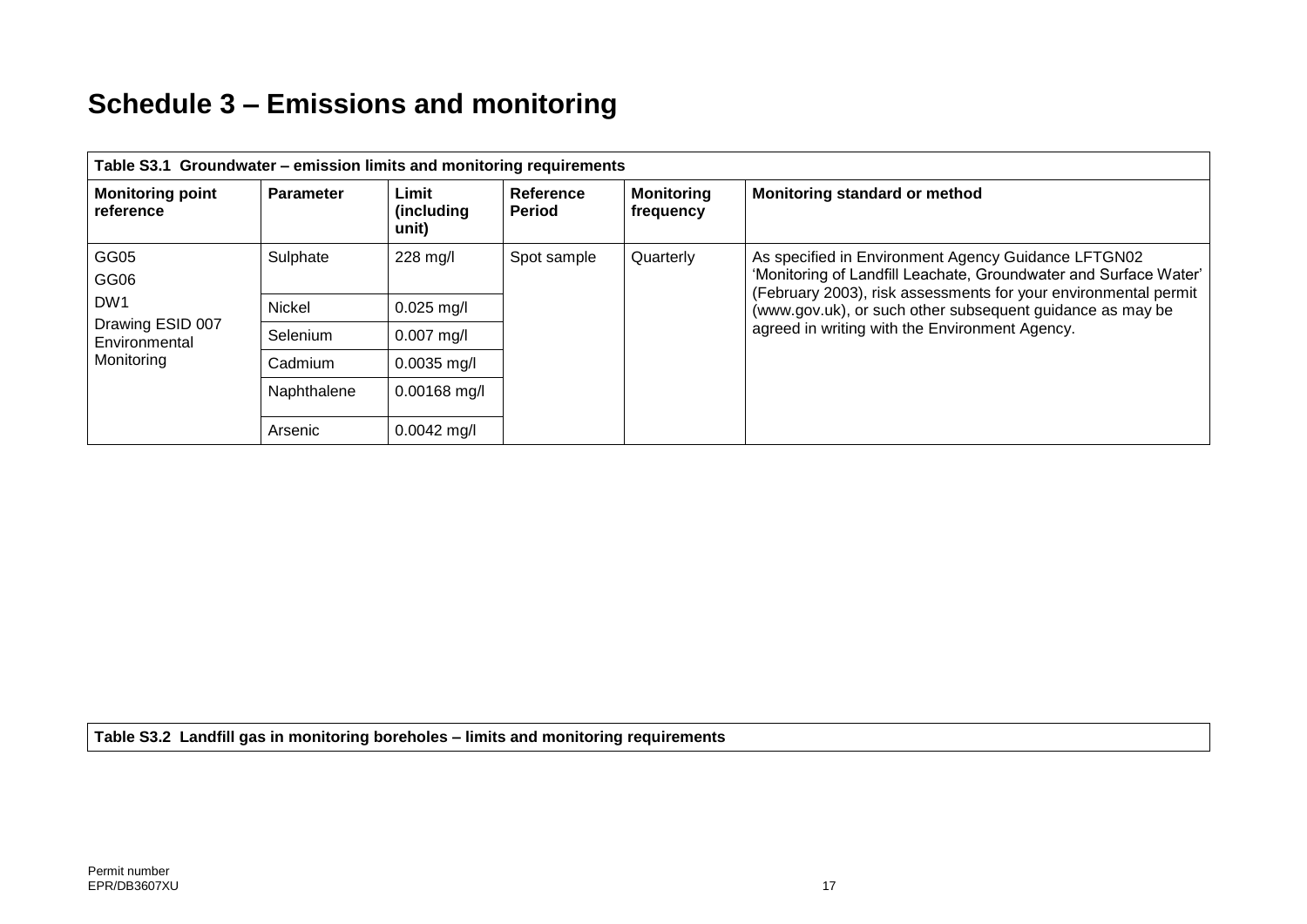## **Schedule 3 – Emissions and monitoring**

| Table S3.1 Groundwater – emission limits and monitoring requirements               |                  |                              |                     |                                |                                                                                                                                                                                                                                                                                                           |
|------------------------------------------------------------------------------------|------------------|------------------------------|---------------------|--------------------------------|-----------------------------------------------------------------------------------------------------------------------------------------------------------------------------------------------------------------------------------------------------------------------------------------------------------|
| <b>Monitoring point</b><br>reference                                               | <b>Parameter</b> | Limit<br>(including<br>unit) | Reference<br>Period | <b>Monitoring</b><br>frequency | Monitoring standard or method                                                                                                                                                                                                                                                                             |
| GG05<br>GG06<br>DW <sub>1</sub><br>Drawing ESID 007<br>Environmental<br>Monitoring | Sulphate         | 228 mg/l                     | Spot sample         | Quarterly                      | As specified in Environment Agency Guidance LFTGN02<br>'Monitoring of Landfill Leachate, Groundwater and Surface Water'<br>(February 2003), risk assessments for your environmental permit<br>(www.gov.uk), or such other subsequent guidance as may be<br>agreed in writing with the Environment Agency. |
|                                                                                    | Nickel           | $0.025$ mg/l                 |                     |                                |                                                                                                                                                                                                                                                                                                           |
|                                                                                    | Selenium         | $0.007$ mg/l                 |                     |                                |                                                                                                                                                                                                                                                                                                           |
|                                                                                    | Cadmium          | $0.0035$ mg/l                |                     |                                |                                                                                                                                                                                                                                                                                                           |
|                                                                                    | Naphthalene      | $0.00168$ mg/l               |                     |                                |                                                                                                                                                                                                                                                                                                           |
|                                                                                    | Arsenic          | $0.0042$ mg/l                |                     |                                |                                                                                                                                                                                                                                                                                                           |

**Table S3.2 Landfill gas in monitoring boreholes – limits and monitoring requirements**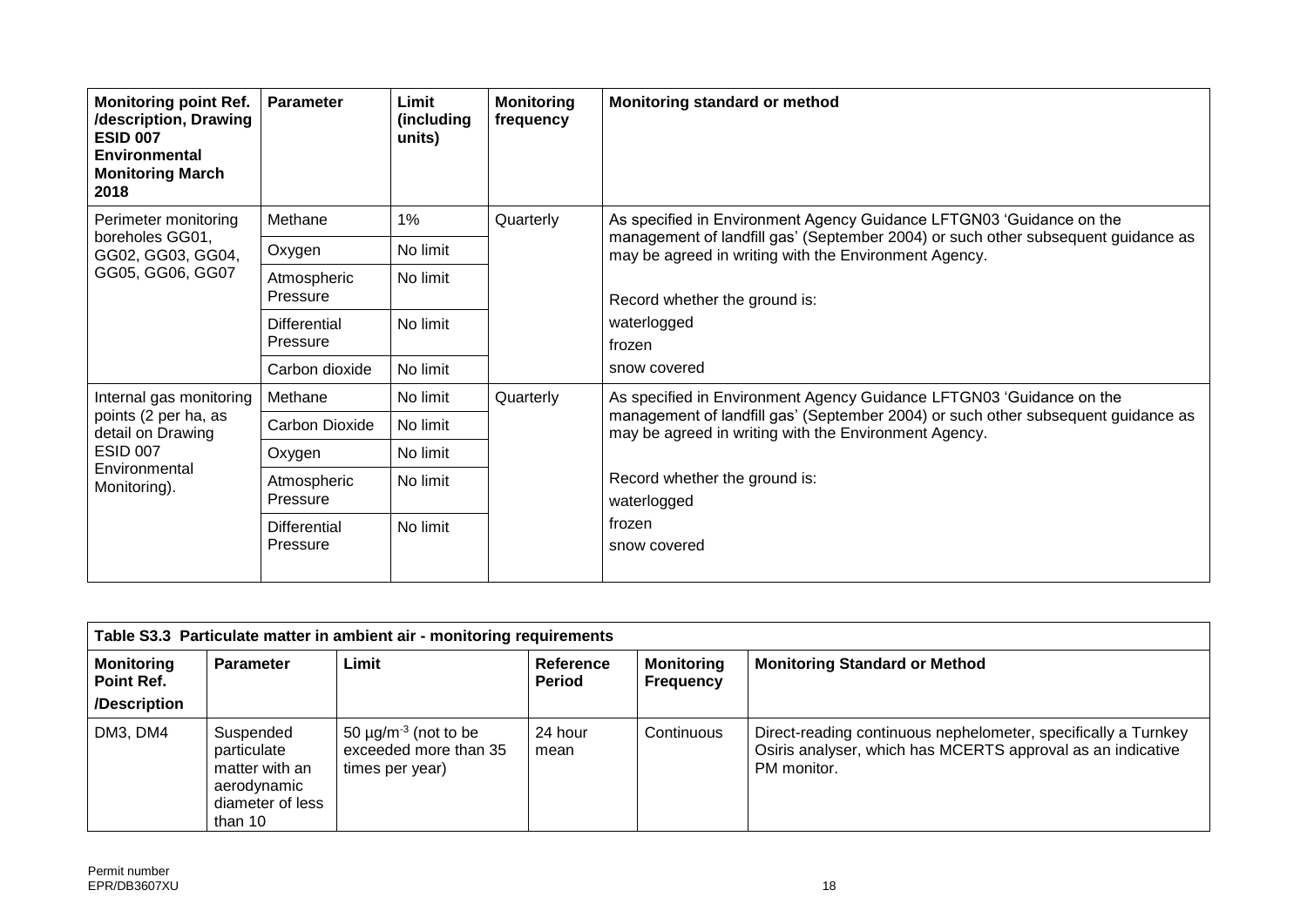| <b>Monitoring point Ref.</b><br>/description, Drawing<br><b>ESID 007</b><br><b>Environmental</b><br><b>Monitoring March</b><br>2018 | <b>Parameter</b>                | Limit<br>(including<br>units) | <b>Monitoring</b><br>frequency | Monitoring standard or method                                                                                                                                                                                      |
|-------------------------------------------------------------------------------------------------------------------------------------|---------------------------------|-------------------------------|--------------------------------|--------------------------------------------------------------------------------------------------------------------------------------------------------------------------------------------------------------------|
| Perimeter monitoring                                                                                                                | Methane                         | 1%                            | Quarterly                      | As specified in Environment Agency Guidance LFTGN03 'Guidance on the                                                                                                                                               |
| boreholes GG01,<br>GG02, GG03, GG04,                                                                                                | Oxygen                          | No limit                      |                                | management of landfill gas' (September 2004) or such other subsequent guidance as<br>may be agreed in writing with the Environment Agency.                                                                         |
| GG05, GG06, GG07                                                                                                                    | Atmospheric<br>Pressure         | No limit                      |                                | Record whether the ground is:                                                                                                                                                                                      |
|                                                                                                                                     | <b>Differential</b><br>Pressure | No limit                      |                                | waterlogged<br>frozen                                                                                                                                                                                              |
|                                                                                                                                     | Carbon dioxide                  | No limit                      |                                | snow covered                                                                                                                                                                                                       |
| Internal gas monitoring                                                                                                             | Methane                         | No limit                      | Quarterly                      | As specified in Environment Agency Guidance LFTGN03 'Guidance on the<br>management of landfill gas' (September 2004) or such other subsequent guidance as<br>may be agreed in writing with the Environment Agency. |
| points (2 per ha, as<br>detail on Drawing                                                                                           | Carbon Dioxide                  | No limit                      |                                |                                                                                                                                                                                                                    |
| <b>ESID 007</b>                                                                                                                     | Oxygen                          | No limit                      |                                |                                                                                                                                                                                                                    |
| Environmental<br>Monitoring).                                                                                                       | Atmospheric<br>Pressure         | No limit                      |                                | Record whether the ground is:<br>waterlogged                                                                                                                                                                       |
|                                                                                                                                     | <b>Differential</b><br>Pressure | No limit                      |                                | frozen<br>snow covered                                                                                                                                                                                             |

| Table S3.3 Particulate matter in ambient air - monitoring requirements |                                                                                          |                                                                                   |                                   |                                       |                                                                                                                                              |
|------------------------------------------------------------------------|------------------------------------------------------------------------------------------|-----------------------------------------------------------------------------------|-----------------------------------|---------------------------------------|----------------------------------------------------------------------------------------------------------------------------------------------|
| <b>Monitoring</b><br>Point Ref.<br>/Description                        | <b>Parameter</b>                                                                         | Limit                                                                             | <b>Reference</b><br><b>Period</b> | <b>Monitoring</b><br><b>Frequency</b> | <b>Monitoring Standard or Method</b>                                                                                                         |
| DM3, DM4                                                               | Suspended<br>particulate<br>matter with an<br>aerodynamic<br>diameter of less<br>than 10 | 50 $\mu$ g/m <sup>-3</sup> (not to be<br>exceeded more than 35<br>times per year) | 24 hour<br>mean                   | Continuous                            | Direct-reading continuous nephelometer, specifically a Turnkey<br>Osiris analyser, which has MCERTS approval as an indicative<br>PM monitor. |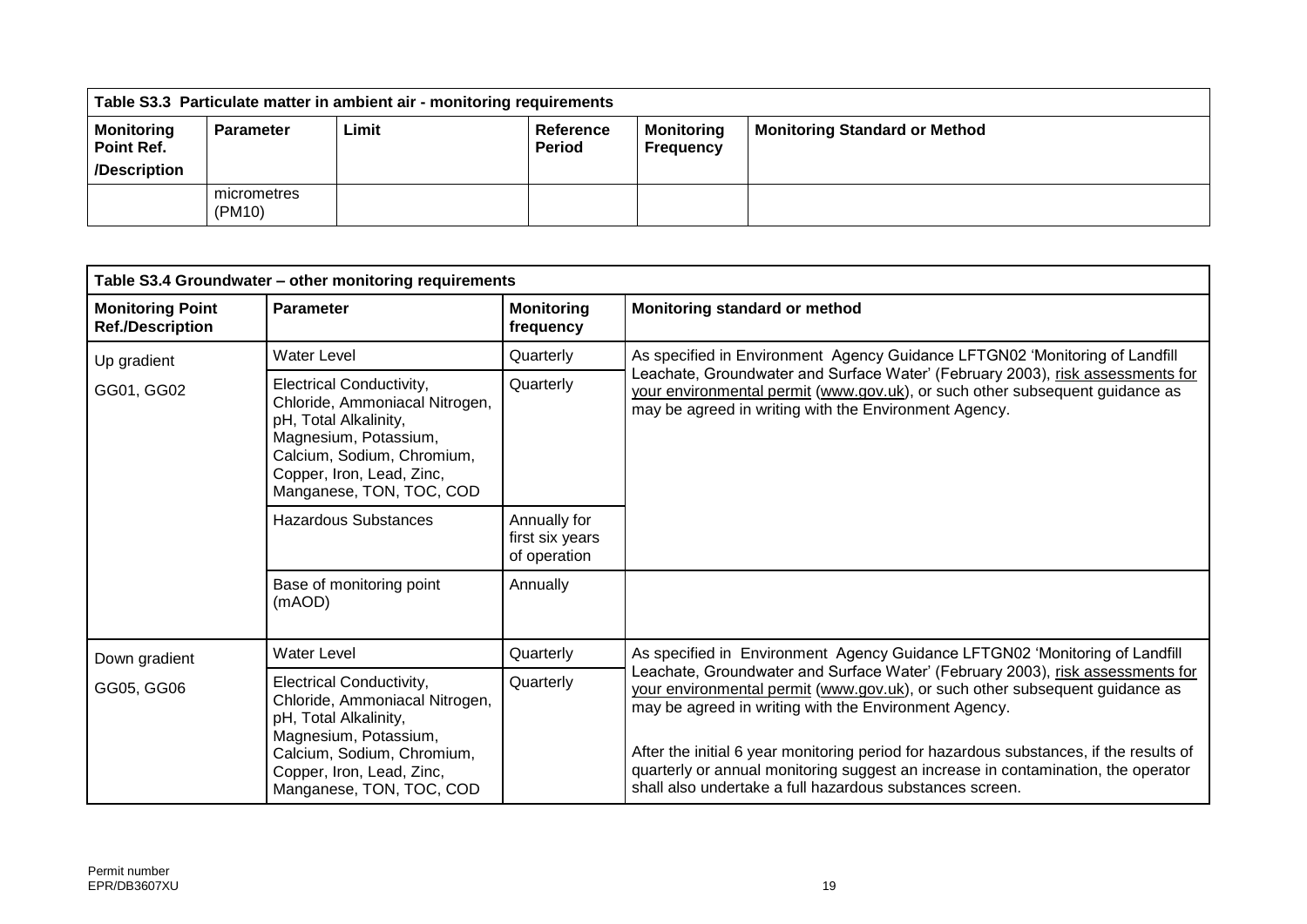|                                                 |                       | Table S3.3 Particulate matter in ambient air - monitoring requirements |                            |                                |                                      |
|-------------------------------------------------|-----------------------|------------------------------------------------------------------------|----------------------------|--------------------------------|--------------------------------------|
| <b>Monitoring</b><br>Point Ref.<br>/Description | <b>Parameter</b>      | Limit                                                                  | Reference<br><b>Period</b> | <b>Monitoring</b><br>Frequency | <b>Monitoring Standard or Method</b> |
|                                                 | micrometres<br>(PM10) |                                                                        |                            |                                |                                      |

| Table S3.4 Groundwater - other monitoring requirements |                                                                                                                                                                                                                  |                                                 |                                                                                                                                                                                                                                                                                                                                                                                                                                                                    |  |
|--------------------------------------------------------|------------------------------------------------------------------------------------------------------------------------------------------------------------------------------------------------------------------|-------------------------------------------------|--------------------------------------------------------------------------------------------------------------------------------------------------------------------------------------------------------------------------------------------------------------------------------------------------------------------------------------------------------------------------------------------------------------------------------------------------------------------|--|
| <b>Monitoring Point</b><br><b>Ref./Description</b>     | <b>Parameter</b>                                                                                                                                                                                                 | <b>Monitoring</b><br>frequency                  | Monitoring standard or method                                                                                                                                                                                                                                                                                                                                                                                                                                      |  |
| Up gradient                                            | <b>Water Level</b>                                                                                                                                                                                               | Quarterly                                       | As specified in Environment Agency Guidance LFTGN02 'Monitoring of Landfill                                                                                                                                                                                                                                                                                                                                                                                        |  |
| GG01, GG02                                             | Electrical Conductivity,<br>Quarterly<br>Chloride, Ammoniacal Nitrogen,<br>pH, Total Alkalinity,<br>Magnesium, Potassium,<br>Calcium, Sodium, Chromium,<br>Copper, Iron, Lead, Zinc,<br>Manganese, TON, TOC, COD |                                                 | Leachate, Groundwater and Surface Water' (February 2003), risk assessments for<br>your environmental permit (www.gov.uk), or such other subsequent guidance as<br>may be agreed in writing with the Environment Agency.                                                                                                                                                                                                                                            |  |
|                                                        | <b>Hazardous Substances</b>                                                                                                                                                                                      | Annually for<br>first six years<br>of operation |                                                                                                                                                                                                                                                                                                                                                                                                                                                                    |  |
|                                                        | Base of monitoring point<br>(mAOD)                                                                                                                                                                               | Annually                                        |                                                                                                                                                                                                                                                                                                                                                                                                                                                                    |  |
| Down gradient                                          | Water Level                                                                                                                                                                                                      | Quarterly                                       | As specified in Environment Agency Guidance LFTGN02 'Monitoring of Landfill                                                                                                                                                                                                                                                                                                                                                                                        |  |
| GG05, GG06                                             | Electrical Conductivity,<br>Chloride, Ammoniacal Nitrogen,<br>pH, Total Alkalinity,<br>Magnesium, Potassium,<br>Calcium, Sodium, Chromium,<br>Copper, Iron, Lead, Zinc,<br>Manganese, TON, TOC, COD              | Quarterly                                       | Leachate, Groundwater and Surface Water' (February 2003), risk assessments for<br>your environmental permit (www.gov.uk), or such other subsequent guidance as<br>may be agreed in writing with the Environment Agency.<br>After the initial 6 year monitoring period for hazardous substances, if the results of<br>quarterly or annual monitoring suggest an increase in contamination, the operator<br>shall also undertake a full hazardous substances screen. |  |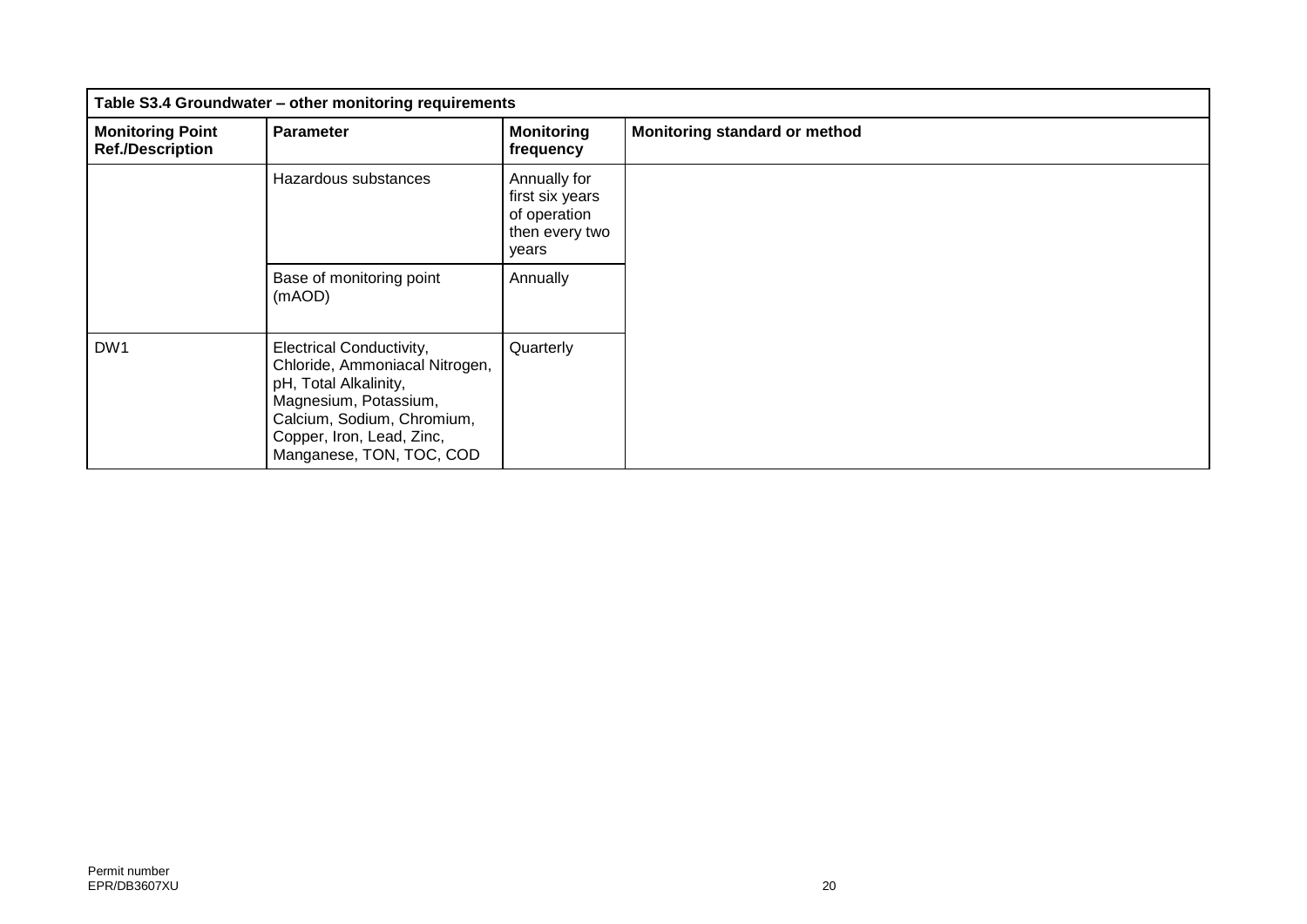| Table S3.4 Groundwater - other monitoring requirements |                                                                                                                                                                                                            |                                                                            |                               |
|--------------------------------------------------------|------------------------------------------------------------------------------------------------------------------------------------------------------------------------------------------------------------|----------------------------------------------------------------------------|-------------------------------|
| <b>Monitoring Point</b><br><b>Ref./Description</b>     | <b>Parameter</b>                                                                                                                                                                                           | <b>Monitoring</b><br>frequency                                             | Monitoring standard or method |
|                                                        | Hazardous substances                                                                                                                                                                                       | Annually for<br>first six years<br>of operation<br>then every two<br>years |                               |
|                                                        | Base of monitoring point<br>(mAOD)                                                                                                                                                                         | Annually                                                                   |                               |
| DW1                                                    | <b>Electrical Conductivity,</b><br>Chloride, Ammoniacal Nitrogen,<br>pH, Total Alkalinity,<br>Magnesium, Potassium,<br>Calcium, Sodium, Chromium,<br>Copper, Iron, Lead, Zinc,<br>Manganese, TON, TOC, COD | Quarterly                                                                  |                               |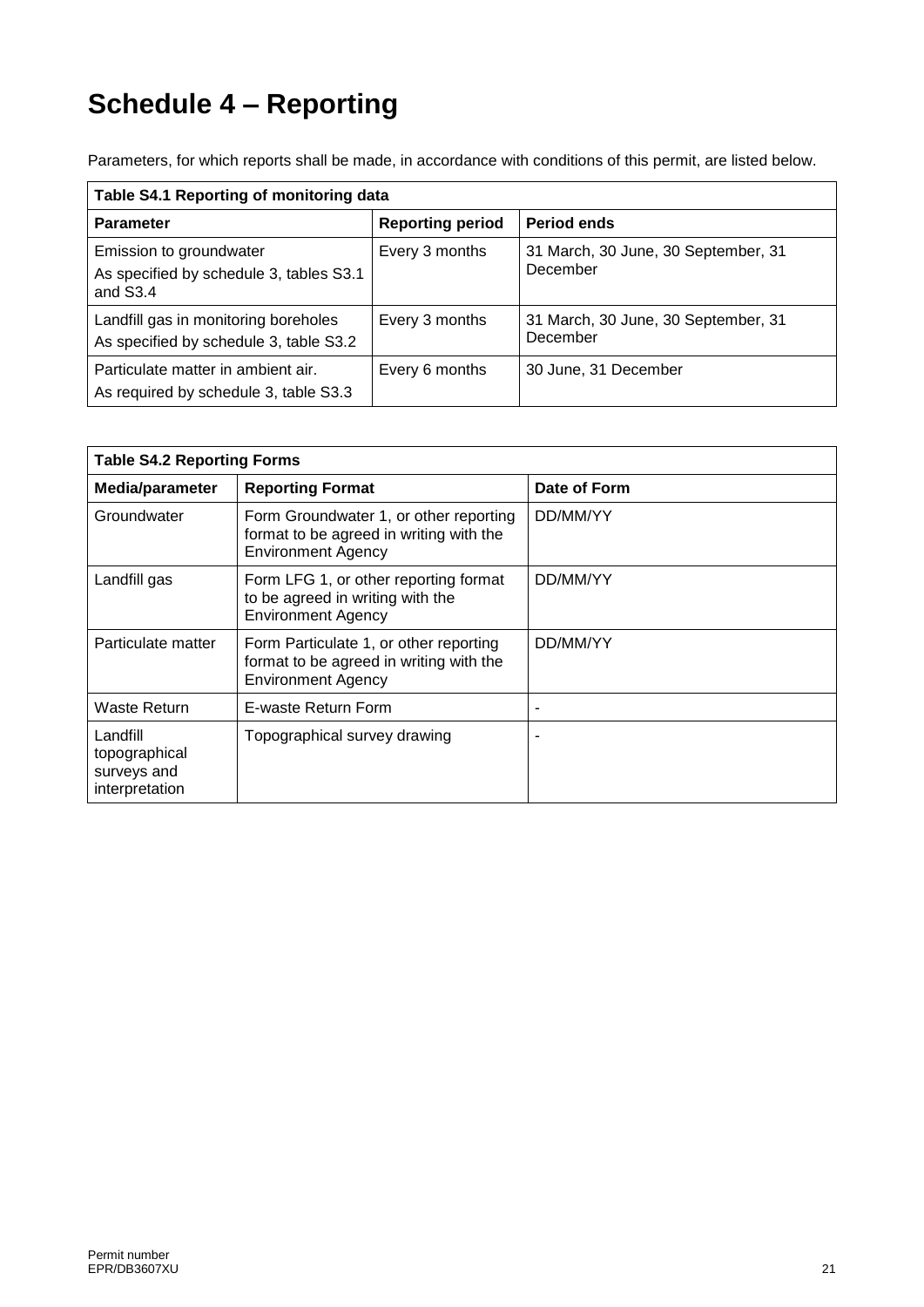## **Schedule 4 – Reporting**

Parameters, for which reports shall be made, in accordance with conditions of this permit, are listed below.

| Table S4.1 Reporting of monitoring data                                          |                         |                                                 |  |
|----------------------------------------------------------------------------------|-------------------------|-------------------------------------------------|--|
| <b>Parameter</b>                                                                 | <b>Reporting period</b> | Period ends                                     |  |
| Emission to groundwater<br>As specified by schedule 3, tables S3.1<br>and $S3.4$ | Every 3 months          | 31 March, 30 June, 30 September, 31<br>December |  |
| Landfill gas in monitoring boreholes<br>As specified by schedule 3, table S3.2   | Every 3 months          | 31 March, 30 June, 30 September, 31<br>December |  |
| Particulate matter in ambient air.<br>As required by schedule 3, table S3.3      | Every 6 months          | 30 June, 31 December                            |  |

| <b>Table S4.2 Reporting Forms</b>                          |                                                                                                                |              |  |
|------------------------------------------------------------|----------------------------------------------------------------------------------------------------------------|--------------|--|
| Media/parameter                                            | <b>Reporting Format</b>                                                                                        | Date of Form |  |
| Groundwater                                                | Form Groundwater 1, or other reporting<br>format to be agreed in writing with the<br><b>Environment Agency</b> | DD/MM/YY     |  |
| Landfill gas                                               | Form LFG 1, or other reporting format<br>to be agreed in writing with the<br><b>Environment Agency</b>         | DD/MM/YY     |  |
| Particulate matter                                         | Form Particulate 1, or other reporting<br>format to be agreed in writing with the<br><b>Environment Agency</b> | DD/MM/YY     |  |
| Waste Return                                               | E-waste Return Form                                                                                            |              |  |
| Landfill<br>topographical<br>surveys and<br>interpretation | Topographical survey drawing                                                                                   |              |  |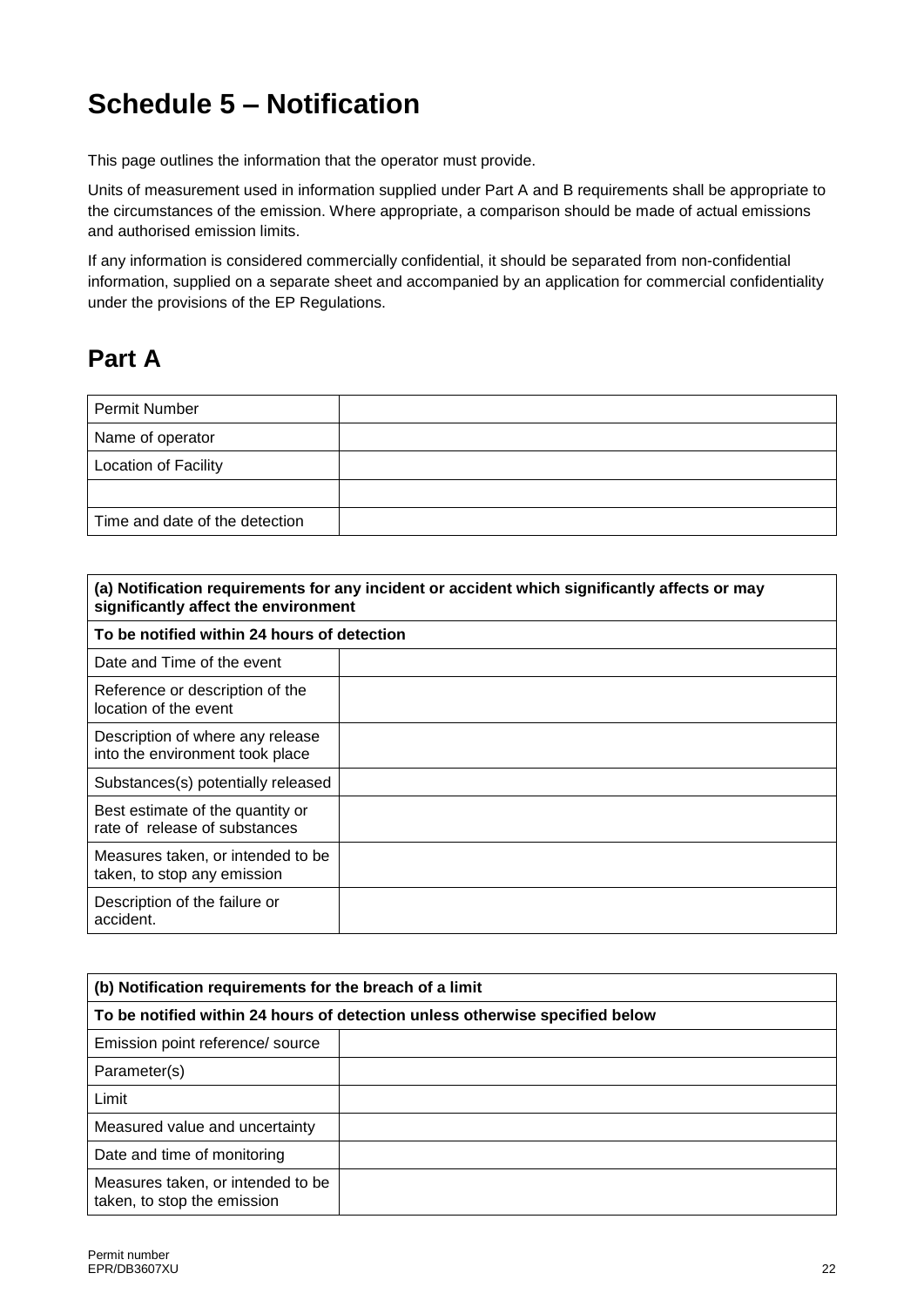## **Schedule 5 – Notification**

This page outlines the information that the operator must provide.

Units of measurement used in information supplied under Part A and B requirements shall be appropriate to the circumstances of the emission. Where appropriate, a comparison should be made of actual emissions and authorised emission limits.

If any information is considered commercially confidential, it should be separated from non-confidential information, supplied on a separate sheet and accompanied by an application for commercial confidentiality under the provisions of the EP Regulations.

### **Part A**

| Permit Number                  |  |
|--------------------------------|--|
| Name of operator               |  |
| <b>Location of Facility</b>    |  |
|                                |  |
| Time and date of the detection |  |

| (a) Notification requirements for any incident or accident which significantly affects or may<br>significantly affect the environment |  |  |
|---------------------------------------------------------------------------------------------------------------------------------------|--|--|
| To be notified within 24 hours of detection                                                                                           |  |  |
| Date and Time of the event                                                                                                            |  |  |
| Reference or description of the<br>location of the event                                                                              |  |  |
| Description of where any release<br>into the environment took place                                                                   |  |  |
| Substances(s) potentially released                                                                                                    |  |  |
| Best estimate of the quantity or<br>rate of release of substances                                                                     |  |  |
| Measures taken, or intended to be<br>taken, to stop any emission                                                                      |  |  |
| Description of the failure or<br>accident.                                                                                            |  |  |

| (b) Notification requirements for the breach of a limit                      |  |  |
|------------------------------------------------------------------------------|--|--|
| To be notified within 24 hours of detection unless otherwise specified below |  |  |
| Emission point reference/ source                                             |  |  |
| Parameter(s)                                                                 |  |  |
| Limit                                                                        |  |  |
| Measured value and uncertainty                                               |  |  |
| Date and time of monitoring                                                  |  |  |
| Measures taken, or intended to be<br>taken, to stop the emission             |  |  |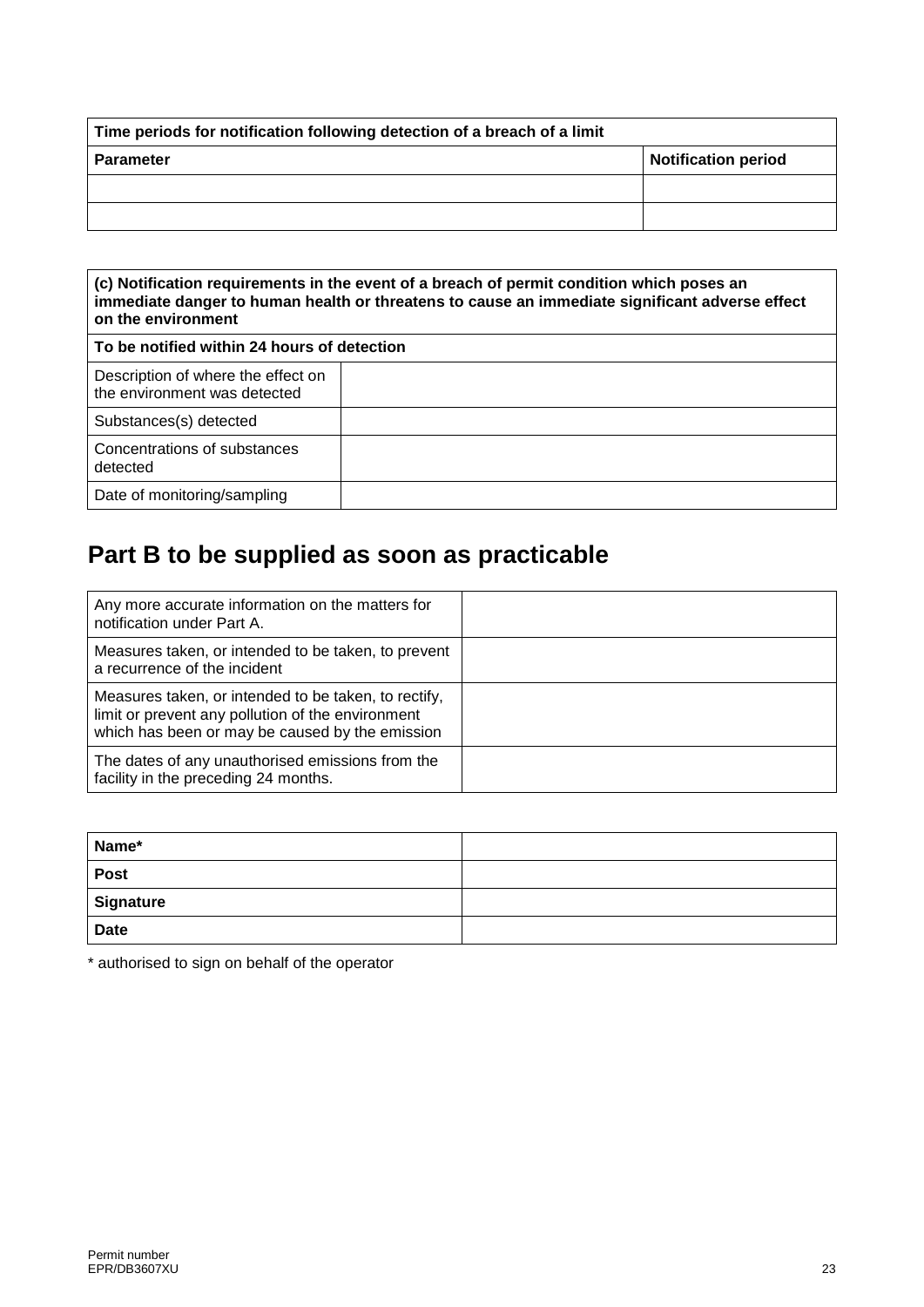| Time periods for notification following detection of a breach of a limit |                     |  |
|--------------------------------------------------------------------------|---------------------|--|
| <b>Parameter</b>                                                         | Notification period |  |
|                                                                          |                     |  |
|                                                                          |                     |  |

| (c) Notification requirements in the event of a breach of permit condition which poses an<br>immediate danger to human health or threatens to cause an immediate significant adverse effect<br>on the environment |  |  |
|-------------------------------------------------------------------------------------------------------------------------------------------------------------------------------------------------------------------|--|--|
| To be notified within 24 hours of detection                                                                                                                                                                       |  |  |
| Description of where the effect on<br>the environment was detected                                                                                                                                                |  |  |
| Substances(s) detected                                                                                                                                                                                            |  |  |
| Concentrations of substances<br>detected                                                                                                                                                                          |  |  |
| Date of monitoring/sampling                                                                                                                                                                                       |  |  |

## **Part B to be supplied as soon as practicable**

| Any more accurate information on the matters for<br>notification under Part A.                                                                               |  |
|--------------------------------------------------------------------------------------------------------------------------------------------------------------|--|
| Measures taken, or intended to be taken, to prevent<br>a recurrence of the incident                                                                          |  |
| Measures taken, or intended to be taken, to rectify,<br>limit or prevent any pollution of the environment<br>which has been or may be caused by the emission |  |
| The dates of any unauthorised emissions from the<br>facility in the preceding 24 months.                                                                     |  |

| Name*       |  |
|-------------|--|
| <b>Post</b> |  |
| Signature   |  |
| <b>Date</b> |  |

\* authorised to sign on behalf of the operator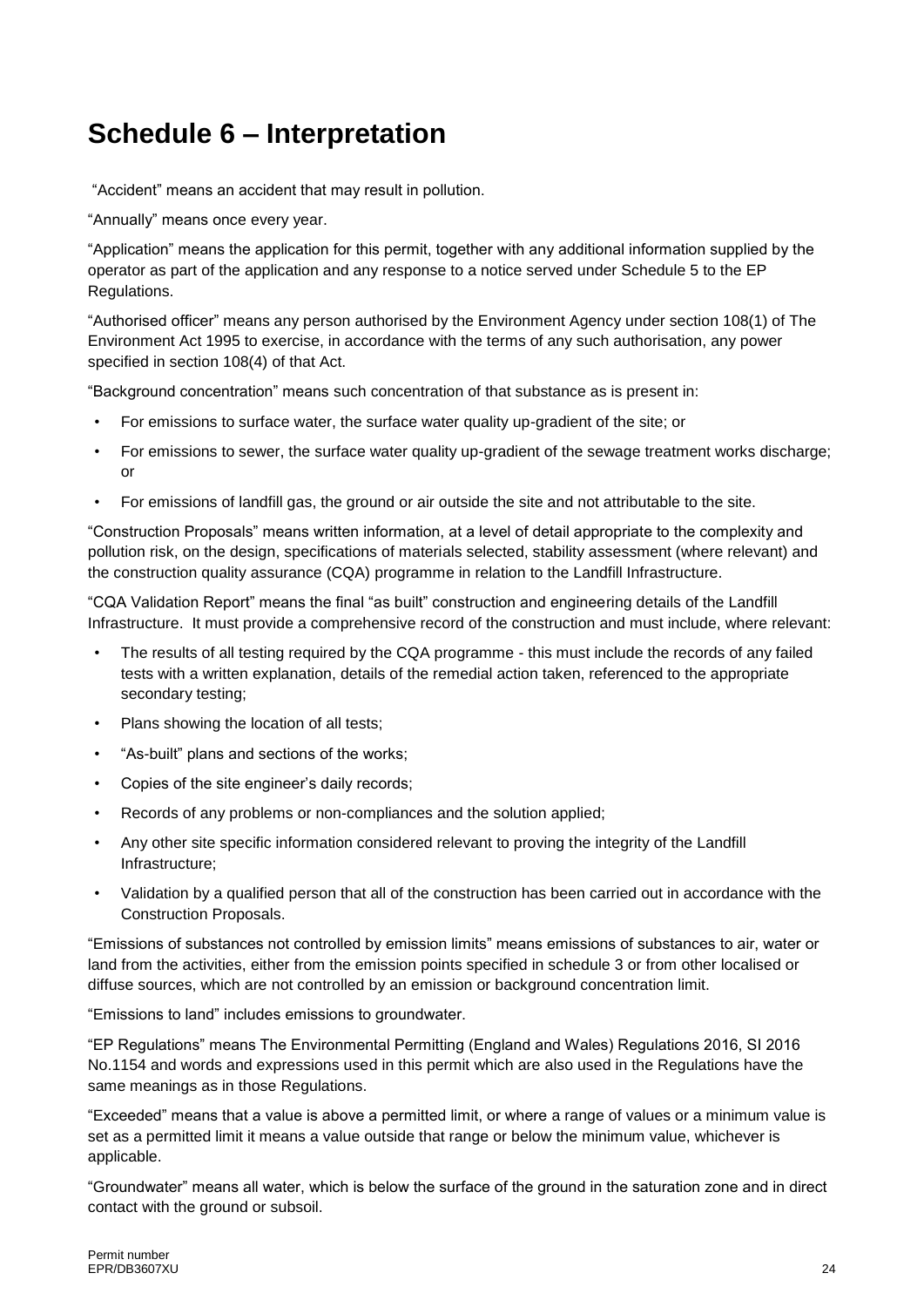## **Schedule 6 – Interpretation**

"Accident" means an accident that may result in pollution.

"Annually" means once every year.

"Application" means the application for this permit, together with any additional information supplied by the operator as part of the application and any response to a notice served under Schedule 5 to the EP Regulations.

"Authorised officer" means any person authorised by the Environment Agency under section 108(1) of The Environment Act 1995 to exercise, in accordance with the terms of any such authorisation, any power specified in section 108(4) of that Act.

"Background concentration" means such concentration of that substance as is present in:

- For emissions to surface water, the surface water quality up-gradient of the site; or
- For emissions to sewer, the surface water quality up-gradient of the sewage treatment works discharge; or
- For emissions of landfill gas, the ground or air outside the site and not attributable to the site.

"Construction Proposals" means written information, at a level of detail appropriate to the complexity and pollution risk, on the design, specifications of materials selected, stability assessment (where relevant) and the construction quality assurance (CQA) programme in relation to the Landfill Infrastructure.

"CQA Validation Report" means the final "as built" construction and engineering details of the Landfill Infrastructure. It must provide a comprehensive record of the construction and must include, where relevant:

- The results of all testing required by the CQA programme this must include the records of any failed tests with a written explanation, details of the remedial action taken, referenced to the appropriate secondary testing;
- Plans showing the location of all tests;
- "As-built" plans and sections of the works;
- Copies of the site engineer's daily records;
- Records of any problems or non-compliances and the solution applied;
- Any other site specific information considered relevant to proving the integrity of the Landfill Infrastructure;
- Validation by a qualified person that all of the construction has been carried out in accordance with the Construction Proposals.

"Emissions of substances not controlled by emission limits" means emissions of substances to air, water or land from the activities, either from the emission points specified in schedule 3 or from other localised or diffuse sources, which are not controlled by an emission or background concentration limit.

"Emissions to land" includes emissions to groundwater.

"EP Regulations" means The Environmental Permitting (England and Wales) Regulations 2016, SI 2016 No.1154 and words and expressions used in this permit which are also used in the Regulations have the same meanings as in those Regulations.

"Exceeded" means that a value is above a permitted limit, or where a range of values or a minimum value is set as a permitted limit it means a value outside that range or below the minimum value, whichever is applicable.

"Groundwater" means all water, which is below the surface of the ground in the saturation zone and in direct contact with the ground or subsoil.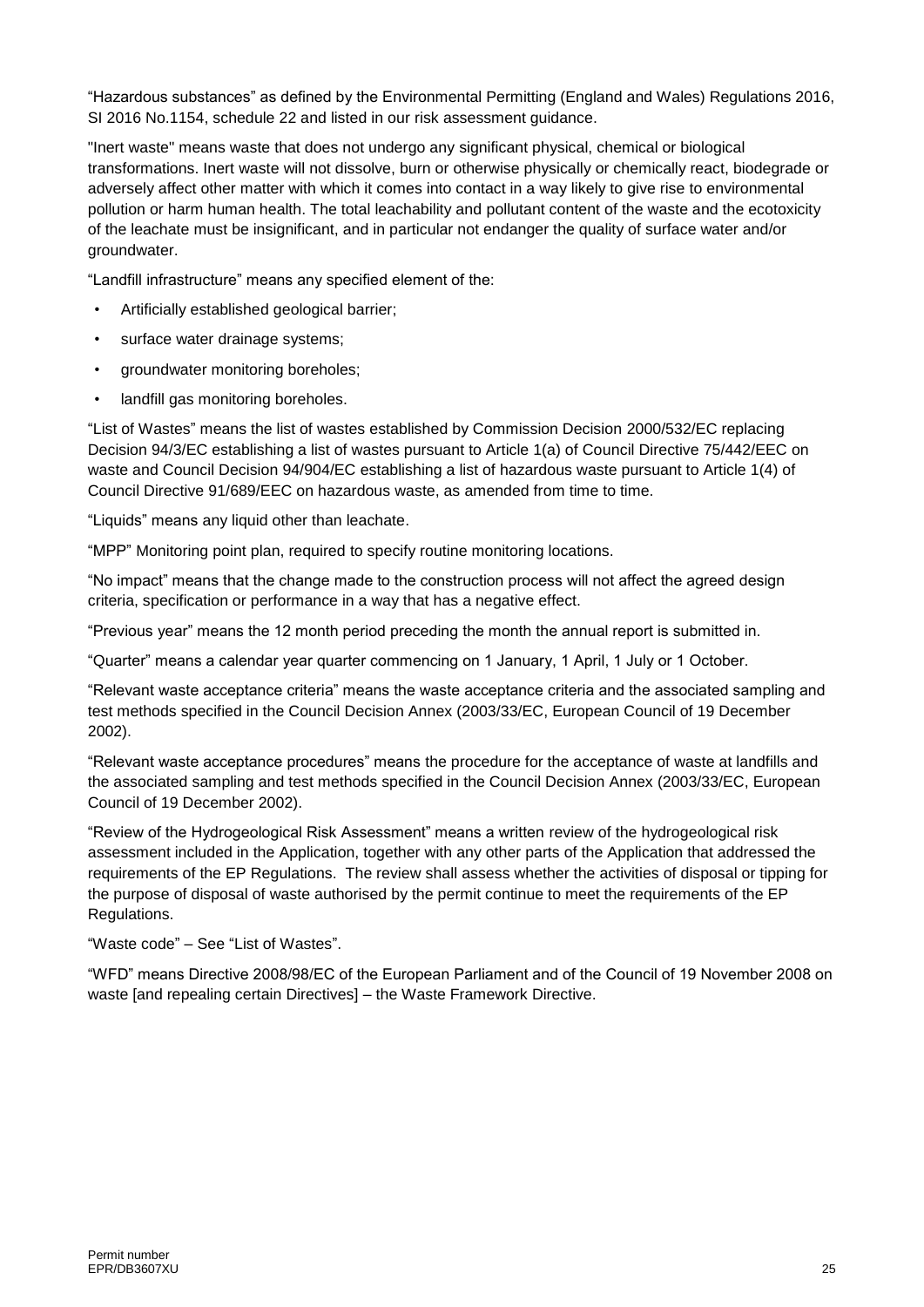"Hazardous substances" as defined by the Environmental Permitting (England and Wales) Regulations 2016, SI 2016 No.1154, schedule 22 and listed in our risk assessment guidance.

"Inert waste" means waste that does not undergo any significant physical, chemical or biological transformations. Inert waste will not dissolve, burn or otherwise physically or chemically react, biodegrade or adversely affect other matter with which it comes into contact in a way likely to give rise to environmental pollution or harm human health. The total leachability and pollutant content of the waste and the ecotoxicity of the leachate must be insignificant, and in particular not endanger the quality of surface water and/or groundwater.

"Landfill infrastructure" means any specified element of the:

- Artificially established geological barrier;
- surface water drainage systems;
- groundwater monitoring boreholes;
- landfill gas monitoring boreholes.

"List of Wastes" means the list of wastes established by Commission Decision [2000/532/EC](http://www.legislation.gov.uk/european/decision/2000/0532) replacing Decision [94/3/EC](http://www.legislation.gov.uk/european/decision/1994/0003) establishing a list of wastes pursuant to Article 1(a) of Council Directive [75/442/EEC](http://www.legislation.gov.uk/european/directive/1975/0442) on waste and Council Decision [94/904/EC](http://www.legislation.gov.uk/european/decision/1994/0904) establishing a list of hazardous waste pursuant to Article 1(4) of Council Directive [91/689/EEC](http://www.legislation.gov.uk/european/decision/1991/0689) on hazardous waste, as amended from time to time.

"Liquids" means any liquid other than leachate.

"MPP" Monitoring point plan, required to specify routine monitoring locations.

"No impact" means that the change made to the construction process will not affect the agreed design criteria, specification or performance in a way that has a negative effect.

"Previous year" means the 12 month period preceding the month the annual report is submitted in.

"Quarter" means a calendar year quarter commencing on 1 January, 1 April, 1 July or 1 October.

"Relevant waste acceptance criteria" means the waste acceptance criteria and the associated sampling and test methods specified in the Council Decision Annex (2003/33/EC, European Council of 19 December 2002).

"Relevant waste acceptance procedures" means the procedure for the acceptance of waste at landfills and the associated sampling and test methods specified in the Council Decision Annex (2003/33/EC, European Council of 19 December 2002).

"Review of the Hydrogeological Risk Assessment" means a written review of the hydrogeological risk assessment included in the Application, together with any other parts of the Application that addressed the requirements of the EP Regulations. The review shall assess whether the activities of disposal or tipping for the purpose of disposal of waste authorised by the permit continue to meet the requirements of the EP Regulations.

"Waste code" – See "List of Wastes".

"WFD" means Directive 2008/98/EC of the European Parliament and of the Council of 19 November 2008 on waste [and repealing certain Directives] – the Waste Framework Directive.